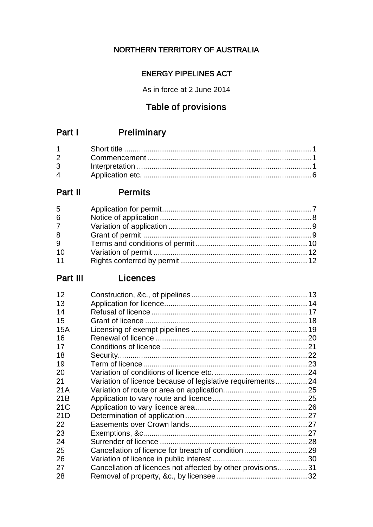# NORTHERN TERRITORY OF AUSTRALIA

# ENERGY PIPELINES ACT

As in force at 2 June 2014

# Table of provisions

# Part I Preliminary

| $2 \left( \frac{1}{2} \right)$ |  |
|--------------------------------|--|
|                                |  |
| $\mathbf 4$                    |  |

# Part II Permits

| 5               |  |
|-----------------|--|
| $6\overline{6}$ |  |
| 7 <sup>7</sup>  |  |
| 8               |  |
| 9               |  |
| 10              |  |
| 11              |  |

# Part III Licences

| 12              |                                                             |  |
|-----------------|-------------------------------------------------------------|--|
| 13              |                                                             |  |
| 14              |                                                             |  |
| 15              |                                                             |  |
| 15A             |                                                             |  |
| 16              |                                                             |  |
| 17              |                                                             |  |
| 18              |                                                             |  |
| 19              |                                                             |  |
| 20              |                                                             |  |
| 21              | Variation of licence because of legislative requirements 24 |  |
| 21A             |                                                             |  |
| 21B             |                                                             |  |
| 21 <sub>C</sub> |                                                             |  |
| 21D             |                                                             |  |
| 22              |                                                             |  |
| 23              |                                                             |  |
| 24              |                                                             |  |
| 25              |                                                             |  |
| 26              |                                                             |  |
| 27              | Cancellation of licences not affected by other provisions31 |  |
| 28              |                                                             |  |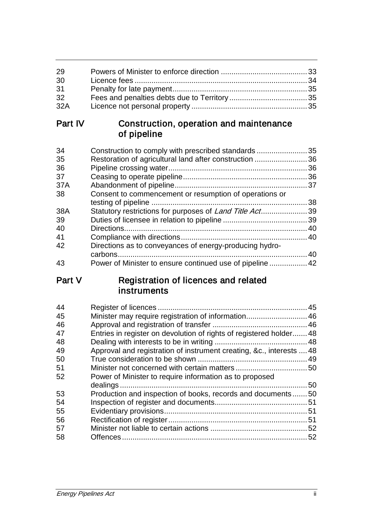| 29  |  |
|-----|--|
| 30  |  |
| 31  |  |
| 32  |  |
| 32A |  |

# Part IV Construction, operation and maintenance of pipeline

| 34  | Construction to comply with prescribed standards35              |    |
|-----|-----------------------------------------------------------------|----|
| 35  | Restoration of agricultural land after construction             | 36 |
| 36  |                                                                 |    |
| 37  |                                                                 |    |
| 37A |                                                                 |    |
| 38  | Consent to commencement or resumption of operations or          |    |
|     |                                                                 | 38 |
| 38A | Statutory restrictions for purposes of <i>Land Title Act</i> 39 |    |
| 39  |                                                                 |    |
| 40  |                                                                 | 40 |
| 41  |                                                                 |    |
| 42  | Directions as to conveyances of energy-producing hydro-         |    |
|     |                                                                 | 40 |
| 43  |                                                                 |    |

# Part V Registration of licences and related instruments

| 44 |                                                                      |  |
|----|----------------------------------------------------------------------|--|
| 45 | Minister may require registration of information 46                  |  |
| 46 |                                                                      |  |
| 47 | Entries in register on devolution of rights of registered holder 48  |  |
| 48 |                                                                      |  |
| 49 | Approval and registration of instrument creating, &c., interests  48 |  |
| 50 |                                                                      |  |
| 51 |                                                                      |  |
| 52 | Power of Minister to require information as to proposed              |  |
|    |                                                                      |  |
| 53 | Production and inspection of books, records and documents50          |  |
| 54 |                                                                      |  |
| 55 |                                                                      |  |
| 56 |                                                                      |  |
| 57 |                                                                      |  |
| 58 |                                                                      |  |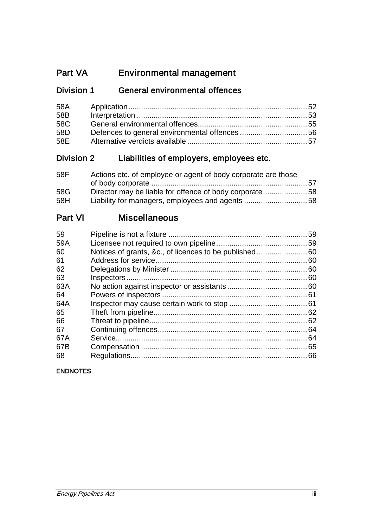# Part VA Environmental management

# Division 1 General environmental offences

| 58A |  |
|-----|--|
| 58B |  |
| 58C |  |
| 58D |  |
|     |  |

# Division 2 Liabilities of employers, employees etc.

| 58F | Actions etc. of employee or agent of body corporate are those |  |
|-----|---------------------------------------------------------------|--|
|     |                                                               |  |
| 58G | Director may be liable for offence of body corporate58        |  |
| 58H |                                                               |  |

# Part VI Miscellaneous

| 59  | 59  |
|-----|-----|
| 59A |     |
| 60  |     |
| 61  | .60 |
| 62  | 60  |
| 63  |     |
| 63A |     |
| 64  |     |
| 64A |     |
| 65  |     |
| 66  |     |
| 67  | 64  |
| 67A | 64  |
| 67B |     |
| 68  | 66  |
|     |     |

### ENDNOTES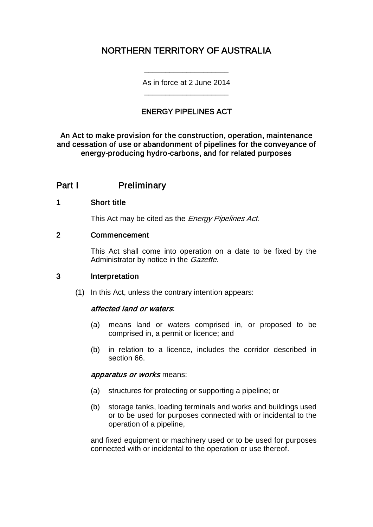# NORTHERN TERRITORY OF AUSTRALIA

As in force at 2 June 2014 \_\_\_\_\_\_\_\_\_\_\_\_\_\_\_\_\_\_\_\_

\_\_\_\_\_\_\_\_\_\_\_\_\_\_\_\_\_\_\_\_

## ENERGY PIPELINES ACT

An Act to make provision for the construction, operation, maintenance and cessation of use or abandonment of pipelines for the conveyance of energy-producing hydro-carbons, and for related purposes

## Part I Preliminary

#### 1 Short title

This Act may be cited as the *Energy Pipelines Act*.

#### 2 Commencement

This Act shall come into operation on a date to be fixed by the Administrator by notice in the *Gazette*.

#### 3 Interpretation

(1) In this Act, unless the contrary intention appears:

#### affected land or waters:

- (a) means land or waters comprised in, or proposed to be comprised in, a permit or licence; and
- (b) in relation to a licence, includes the corridor described in section 66.

#### apparatus or works means:

- (a) structures for protecting or supporting a pipeline; or
- (b) storage tanks, loading terminals and works and buildings used or to be used for purposes connected with or incidental to the operation of a pipeline,

and fixed equipment or machinery used or to be used for purposes connected with or incidental to the operation or use thereof.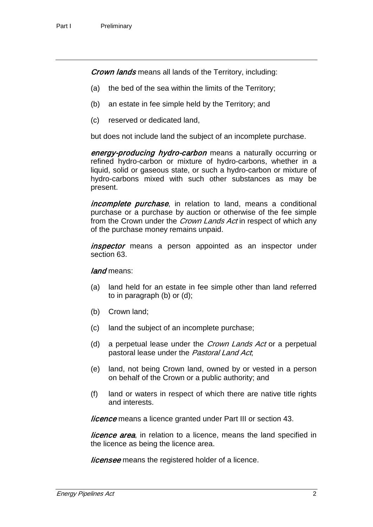**Crown lands** means all lands of the Territory, including:

- (a) the bed of the sea within the limits of the Territory;
- (b) an estate in fee simple held by the Territory; and
- (c) reserved or dedicated land,

but does not include land the subject of an incomplete purchase.

energy-producing hydro-carbon means a naturally occurring or refined hydro-carbon or mixture of hydro-carbons, whether in a liquid, solid or gaseous state, or such a hydro-carbon or mixture of hydro-carbons mixed with such other substances as may be present.

*incomplete purchase*, in relation to land, means a conditional purchase or a purchase by auction or otherwise of the fee simple from the Crown under the *Crown Lands Act* in respect of which any of the purchase money remains unpaid.

*inspector* means a person appointed as an inspector under section 63.

#### land means:

- (a) land held for an estate in fee simple other than land referred to in paragraph (b) or (d);
- (b) Crown land;
- (c) land the subject of an incomplete purchase;
- (d) a perpetual lease under the *Crown Lands Act* or a perpetual pastoral lease under the Pastoral Land Act,
- (e) land, not being Crown land, owned by or vested in a person on behalf of the Crown or a public authority; and
- (f) land or waters in respect of which there are native title rights and interests.

**licence** means a licence granted under Part III or section 43.

*licence area*, in relation to a licence, means the land specified in the licence as being the licence area.

*licensee* means the registered holder of a licence.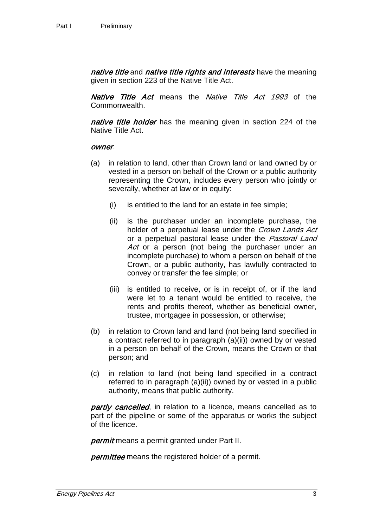native title and native title rights and interests have the meaning given in section 223 of the Native Title Act.

Native Title Act means the Native Title Act 1993 of the Commonwealth.

native title holder has the meaning given in section 224 of the Native Title Act.

#### owner:

- (a) in relation to land, other than Crown land or land owned by or vested in a person on behalf of the Crown or a public authority representing the Crown, includes every person who jointly or severally, whether at law or in equity:
	- (i) is entitled to the land for an estate in fee simple;
	- (ii) is the purchaser under an incomplete purchase, the holder of a perpetual lease under the *Crown Lands Act* or a perpetual pastoral lease under the Pastoral Land Act or a person (not being the purchaser under an incomplete purchase) to whom a person on behalf of the Crown, or a public authority, has lawfully contracted to convey or transfer the fee simple; or
	- (iii) is entitled to receive, or is in receipt of, or if the land were let to a tenant would be entitled to receive, the rents and profits thereof, whether as beneficial owner, trustee, mortgagee in possession, or otherwise;
- (b) in relation to Crown land and land (not being land specified in a contract referred to in paragraph (a)(ii)) owned by or vested in a person on behalf of the Crown, means the Crown or that person; and
- (c) in relation to land (not being land specified in a contract referred to in paragraph (a)(ii)) owned by or vested in a public authority, means that public authority.

partly cancelled, in relation to a licence, means cancelled as to part of the pipeline or some of the apparatus or works the subject of the licence.

*permit* means a permit granted under Part II.

**permittee** means the registered holder of a permit.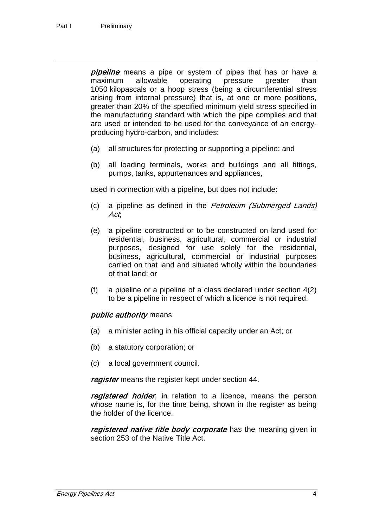**pipeline** means a pipe or system of pipes that has or have a maximum allowable operating pressure greater than 1050 kilopascals or a hoop stress (being a circumferential stress arising from internal pressure) that is, at one or more positions, greater than 20% of the specified minimum yield stress specified in the manufacturing standard with which the pipe complies and that are used or intended to be used for the conveyance of an energyproducing hydro-carbon, and includes:

- (a) all structures for protecting or supporting a pipeline; and
- (b) all loading terminals, works and buildings and all fittings, pumps, tanks, appurtenances and appliances,

used in connection with a pipeline, but does not include:

- (c) a pipeline as defined in the Petroleum (Submerged Lands) Act;
- (e) a pipeline constructed or to be constructed on land used for residential, business, agricultural, commercial or industrial purposes, designed for use solely for the residential, business, agricultural, commercial or industrial purposes carried on that land and situated wholly within the boundaries of that land; or
- (f) a pipeline or a pipeline of a class declared under section 4(2) to be a pipeline in respect of which a licence is not required.

#### public *authority* means:

- (a) a minister acting in his official capacity under an Act; or
- (b) a statutory corporation; or
- (c) a local government council.

register means the register kept under section 44.

registered holder, in relation to a licence, means the person whose name is, for the time being, shown in the register as being the holder of the licence.

registered native title body corporate has the meaning given in section 253 of the Native Title Act.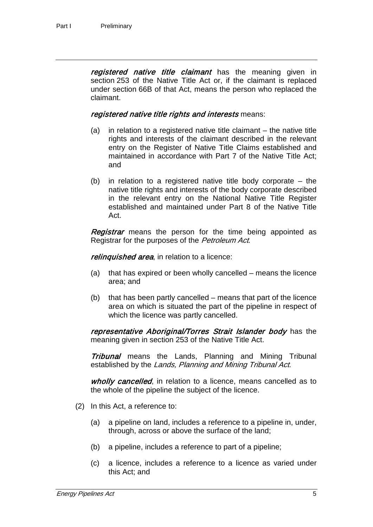registered native title claimant has the meaning given in section 253 of the Native Title Act or, if the claimant is replaced under section 66B of that Act, means the person who replaced the claimant.

#### registered native title rights and interests means:

- (a) in relation to a registered native title claimant the native title rights and interests of the claimant described in the relevant entry on the Register of Native Title Claims established and maintained in accordance with Part 7 of the Native Title Act; and
- (b) in relation to a registered native title body corporate the native title rights and interests of the body corporate described in the relevant entry on the National Native Title Register established and maintained under Part 8 of the Native Title Act.

**Registrar** means the person for the time being appointed as Registrar for the purposes of the Petroleum Act.

relinquished area, in relation to a licence:

- (a) that has expired or been wholly cancelled means the licence area; and
- (b) that has been partly cancelled means that part of the licence area on which is situated the part of the pipeline in respect of which the licence was partly cancelled.

representative Aboriginal/Torres Strait Islander body has the meaning given in section 253 of the Native Title Act.

**Tribunal** means the Lands, Planning and Mining Tribunal established by the Lands, Planning and Mining Tribunal Act.

wholly cancelled, in relation to a licence, means cancelled as to the whole of the pipeline the subject of the licence.

- (2) In this Act, a reference to:
	- (a) a pipeline on land, includes a reference to a pipeline in, under, through, across or above the surface of the land;
	- (b) a pipeline, includes a reference to part of a pipeline;
	- (c) a licence, includes a reference to a licence as varied under this Act; and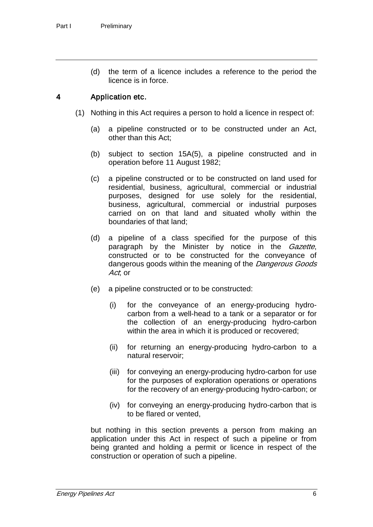(d) the term of a licence includes a reference to the period the licence is in force.

### 4 Application etc.

- (1) Nothing in this Act requires a person to hold a licence in respect of:
	- (a) a pipeline constructed or to be constructed under an Act, other than this Act;
	- (b) subject to section 15A(5), a pipeline constructed and in operation before 11 August 1982;
	- (c) a pipeline constructed or to be constructed on land used for residential, business, agricultural, commercial or industrial purposes, designed for use solely for the residential, business, agricultural, commercial or industrial purposes carried on on that land and situated wholly within the boundaries of that land;
	- (d) a pipeline of a class specified for the purpose of this paragraph by the Minister by notice in the *Gazette*, constructed or to be constructed for the conveyance of dangerous goods within the meaning of the *Dangerous Goods* Act, or
	- (e) a pipeline constructed or to be constructed:
		- (i) for the conveyance of an energy-producing hydrocarbon from a well-head to a tank or a separator or for the collection of an energy-producing hydro-carbon within the area in which it is produced or recovered;
		- (ii) for returning an energy-producing hydro-carbon to a natural reservoir;
		- (iii) for conveying an energy-producing hydro-carbon for use for the purposes of exploration operations or operations for the recovery of an energy-producing hydro-carbon; or
		- (iv) for conveying an energy-producing hydro-carbon that is to be flared or vented,

but nothing in this section prevents a person from making an application under this Act in respect of such a pipeline or from being granted and holding a permit or licence in respect of the construction or operation of such a pipeline.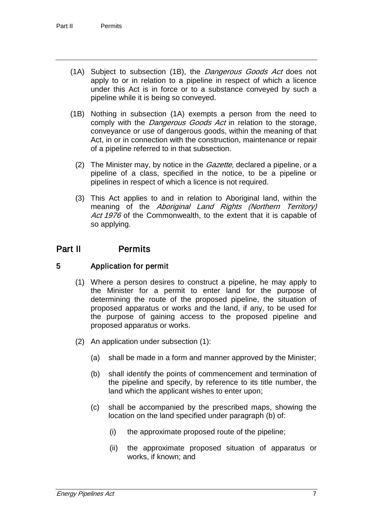- (1A) Subject to subsection (1B), the Dangerous Goods Act does not apply to or in relation to a pipeline in respect of which a licence under this Act is in force or to a substance conveyed by such a pipeline while it is being so conveyed.
- (1B) Nothing in subsection (1A) exempts a person from the need to comply with the Dangerous Goods Act in relation to the storage, conveyance or use of dangerous goods, within the meaning of that Act, in or in connection with the construction, maintenance or repair of a pipeline referred to in that subsection.
	- (2) The Minister may, by notice in the *Gazette*, declared a pipeline, or a pipeline of a class, specified in the notice, to be a pipeline or pipelines in respect of which a licence is not required.
	- (3) This Act applies to and in relation to Aboriginal land, within the meaning of the *Aboriginal Land Rights (Northern Territory)* Act 1976 of the Commonwealth, to the extent that it is capable of so applying.

# Part II Permits

## 5 Application for permit

- (1) Where a person desires to construct a pipeline, he may apply to the Minister for a permit to enter land for the purpose of determining the route of the proposed pipeline, the situation of proposed apparatus or works and the land, if any, to be used for the purpose of gaining access to the proposed pipeline and proposed apparatus or works.
- (2) An application under subsection (1):
	- (a) shall be made in a form and manner approved by the Minister;
	- (b) shall identify the points of commencement and termination of the pipeline and specify, by reference to its title number, the land which the applicant wishes to enter upon;
	- (c) shall be accompanied by the prescribed maps, showing the location on the land specified under paragraph (b) of:
		- (i) the approximate proposed route of the pipeline;
		- (ii) the approximate proposed situation of apparatus or works, if known; and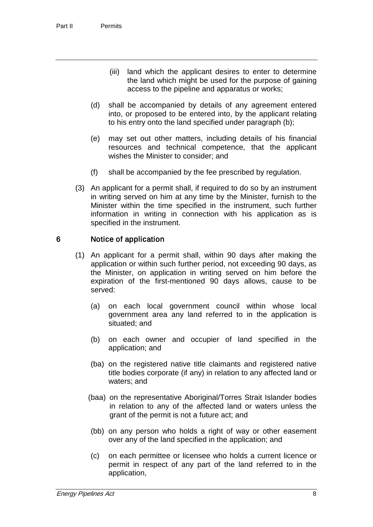- (iii) land which the applicant desires to enter to determine the land which might be used for the purpose of gaining access to the pipeline and apparatus or works;
- (d) shall be accompanied by details of any agreement entered into, or proposed to be entered into, by the applicant relating to his entry onto the land specified under paragraph (b);
- (e) may set out other matters, including details of his financial resources and technical competence, that the applicant wishes the Minister to consider; and
- (f) shall be accompanied by the fee prescribed by regulation.
- (3) An applicant for a permit shall, if required to do so by an instrument in writing served on him at any time by the Minister, furnish to the Minister within the time specified in the instrument, such further information in writing in connection with his application as is specified in the instrument.

### 6 Notice of application

- (1) An applicant for a permit shall, within 90 days after making the application or within such further period, not exceeding 90 days, as the Minister, on application in writing served on him before the expiration of the first-mentioned 90 days allows, cause to be served:
	- (a) on each local government council within whose local government area any land referred to in the application is situated; and
	- (b) on each owner and occupier of land specified in the application; and
	- (ba) on the registered native title claimants and registered native title bodies corporate (if any) in relation to any affected land or waters; and
	- (baa) on the representative Aboriginal/Torres Strait Islander bodies in relation to any of the affected land or waters unless the grant of the permit is not a future act; and
	- (bb) on any person who holds a right of way or other easement over any of the land specified in the application; and
	- (c) on each permittee or licensee who holds a current licence or permit in respect of any part of the land referred to in the application,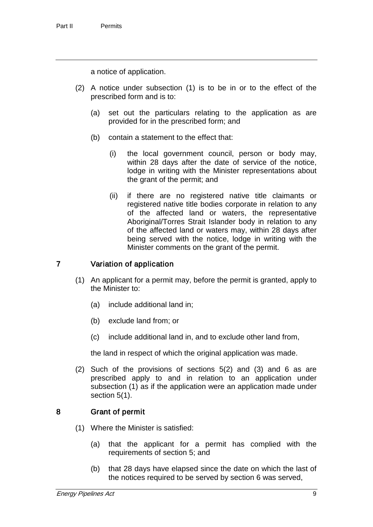a notice of application.

- (2) A notice under subsection (1) is to be in or to the effect of the prescribed form and is to:
	- (a) set out the particulars relating to the application as are provided for in the prescribed form; and
	- (b) contain a statement to the effect that:
		- (i) the local government council, person or body may, within 28 days after the date of service of the notice, lodge in writing with the Minister representations about the grant of the permit; and
		- (ii) if there are no registered native title claimants or registered native title bodies corporate in relation to any of the affected land or waters, the representative Aboriginal/Torres Strait Islander body in relation to any of the affected land or waters may, within 28 days after being served with the notice, lodge in writing with the Minister comments on the grant of the permit.

### 7 Variation of application

- (1) An applicant for a permit may, before the permit is granted, apply to the Minister to:
	- (a) include additional land in;
	- (b) exclude land from; or
	- (c) include additional land in, and to exclude other land from,

the land in respect of which the original application was made.

(2) Such of the provisions of sections 5(2) and (3) and 6 as are prescribed apply to and in relation to an application under subsection (1) as if the application were an application made under section 5(1).

### 8 Grant of permit

- (1) Where the Minister is satisfied:
	- (a) that the applicant for a permit has complied with the requirements of section 5; and
	- (b) that 28 days have elapsed since the date on which the last of the notices required to be served by section 6 was served,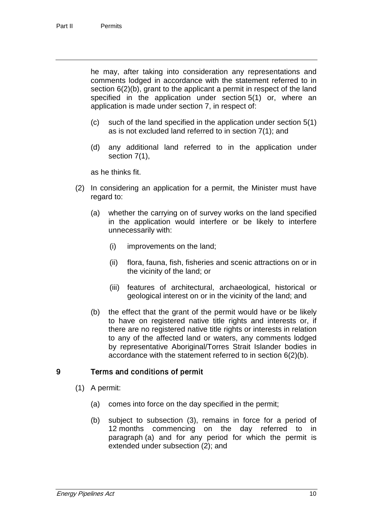he may, after taking into consideration any representations and comments lodged in accordance with the statement referred to in section 6(2)(b), grant to the applicant a permit in respect of the land specified in the application under section 5(1) or, where an application is made under section 7, in respect of:

- (c) such of the land specified in the application under section 5(1) as is not excluded land referred to in section 7(1); and
- (d) any additional land referred to in the application under section 7(1),

as he thinks fit.

- (2) In considering an application for a permit, the Minister must have regard to:
	- (a) whether the carrying on of survey works on the land specified in the application would interfere or be likely to interfere unnecessarily with:
		- (i) improvements on the land;
		- (ii) flora, fauna, fish, fisheries and scenic attractions on or in the vicinity of the land; or
		- (iii) features of architectural, archaeological, historical or geological interest on or in the vicinity of the land; and
	- (b) the effect that the grant of the permit would have or be likely to have on registered native title rights and interests or, if there are no registered native title rights or interests in relation to any of the affected land or waters, any comments lodged by representative Aboriginal/Torres Strait Islander bodies in accordance with the statement referred to in section 6(2)(b).

### 9 Terms and conditions of permit

- (1) A permit:
	- (a) comes into force on the day specified in the permit;
	- (b) subject to subsection (3), remains in force for a period of 12 months commencing on the day referred to in paragraph (a) and for any period for which the permit is extended under subsection (2); and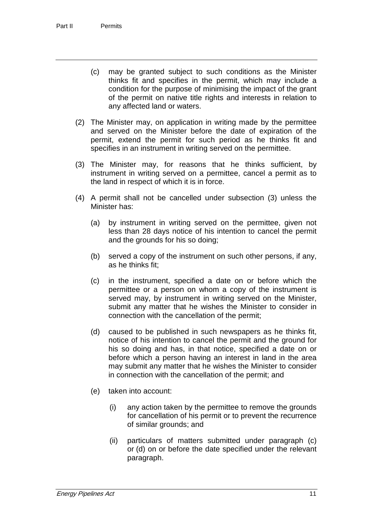- (c) may be granted subject to such conditions as the Minister thinks fit and specifies in the permit, which may include a condition for the purpose of minimising the impact of the grant of the permit on native title rights and interests in relation to any affected land or waters.
- (2) The Minister may, on application in writing made by the permittee and served on the Minister before the date of expiration of the permit, extend the permit for such period as he thinks fit and specifies in an instrument in writing served on the permittee.
- (3) The Minister may, for reasons that he thinks sufficient, by instrument in writing served on a permittee, cancel a permit as to the land in respect of which it is in force.
- (4) A permit shall not be cancelled under subsection (3) unless the Minister has:
	- (a) by instrument in writing served on the permittee, given not less than 28 days notice of his intention to cancel the permit and the grounds for his so doing;
	- (b) served a copy of the instrument on such other persons, if any, as he thinks fit;
	- (c) in the instrument, specified a date on or before which the permittee or a person on whom a copy of the instrument is served may, by instrument in writing served on the Minister, submit any matter that he wishes the Minister to consider in connection with the cancellation of the permit;
	- (d) caused to be published in such newspapers as he thinks fit, notice of his intention to cancel the permit and the ground for his so doing and has, in that notice, specified a date on or before which a person having an interest in land in the area may submit any matter that he wishes the Minister to consider in connection with the cancellation of the permit; and
	- (e) taken into account:
		- (i) any action taken by the permittee to remove the grounds for cancellation of his permit or to prevent the recurrence of similar grounds; and
		- (ii) particulars of matters submitted under paragraph (c) or (d) on or before the date specified under the relevant paragraph.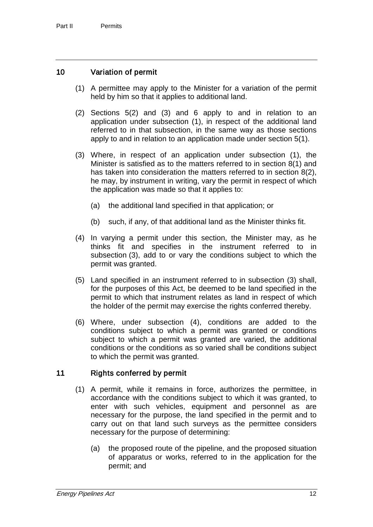### 10 Variation of permit

- (1) A permittee may apply to the Minister for a variation of the permit held by him so that it applies to additional land.
- (2) Sections 5(2) and (3) and 6 apply to and in relation to an application under subsection (1), in respect of the additional land referred to in that subsection, in the same way as those sections apply to and in relation to an application made under section 5(1).
- (3) Where, in respect of an application under subsection (1), the Minister is satisfied as to the matters referred to in section 8(1) and has taken into consideration the matters referred to in section 8(2), he may, by instrument in writing, vary the permit in respect of which the application was made so that it applies to:
	- (a) the additional land specified in that application; or
	- (b) such, if any, of that additional land as the Minister thinks fit.
- (4) In varying a permit under this section, the Minister may, as he thinks fit and specifies in the instrument referred to in subsection (3), add to or vary the conditions subject to which the permit was granted.
- (5) Land specified in an instrument referred to in subsection (3) shall, for the purposes of this Act, be deemed to be land specified in the permit to which that instrument relates as land in respect of which the holder of the permit may exercise the rights conferred thereby.
- (6) Where, under subsection (4), conditions are added to the conditions subject to which a permit was granted or conditions subject to which a permit was granted are varied, the additional conditions or the conditions as so varied shall be conditions subject to which the permit was granted.

## 11 Rights conferred by permit

- (1) A permit, while it remains in force, authorizes the permittee, in accordance with the conditions subject to which it was granted, to enter with such vehicles, equipment and personnel as are necessary for the purpose, the land specified in the permit and to carry out on that land such surveys as the permittee considers necessary for the purpose of determining:
	- (a) the proposed route of the pipeline, and the proposed situation of apparatus or works, referred to in the application for the permit; and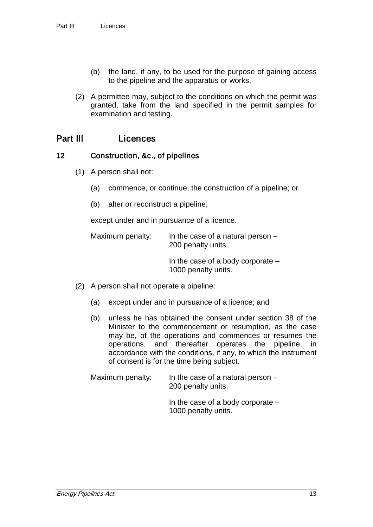- (b) the land, if any, to be used for the purpose of gaining access to the pipeline and the apparatus or works.
- (2) A permittee may, subject to the conditions on which the permit was granted, take from the land specified in the permit samples for examination and testing.

# Part III Licences

### 12 Construction, &c., of pipelines

- (1) A person shall not:
	- (a) commence, or continue, the construction of a pipeline; or
	- (b) alter or reconstruct a pipeline,

except under and in pursuance of a licence.

Maximum penalty: In the case of a natural person  $-$ 200 penalty units.

> In the case of a body corporate – 1000 penalty units.

- (2) A person shall not operate a pipeline:
	- (a) except under and in pursuance of a licence; and
	- (b) unless he has obtained the consent under section 38 of the Minister to the commencement or resumption, as the case may be, of the operations and commences or resumes the operations, and thereafter operates the pipeline, in accordance with the conditions, if any, to which the instrument of consent is for the time being subject.

Maximum penalty: In the case of a natural person  $-$ 200 penalty units.

> In the case of a body corporate – 1000 penalty units.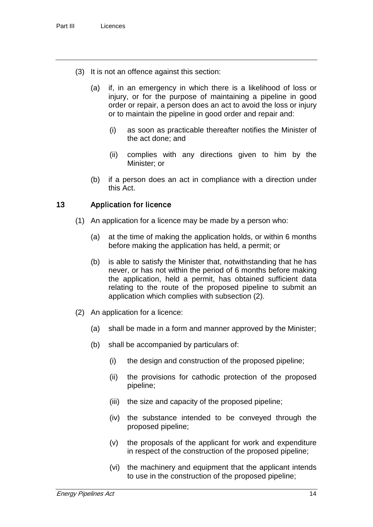- (3) It is not an offence against this section:
	- (a) if, in an emergency in which there is a likelihood of loss or injury, or for the purpose of maintaining a pipeline in good order or repair, a person does an act to avoid the loss or injury or to maintain the pipeline in good order and repair and:
		- (i) as soon as practicable thereafter notifies the Minister of the act done; and
		- (ii) complies with any directions given to him by the Minister; or
	- (b) if a person does an act in compliance with a direction under this Act.

### 13 Application for licence

- (1) An application for a licence may be made by a person who:
	- (a) at the time of making the application holds, or within 6 months before making the application has held, a permit; or
	- (b) is able to satisfy the Minister that, notwithstanding that he has never, or has not within the period of 6 months before making the application, held a permit, has obtained sufficient data relating to the route of the proposed pipeline to submit an application which complies with subsection (2).
- (2) An application for a licence:
	- (a) shall be made in a form and manner approved by the Minister;
	- (b) shall be accompanied by particulars of:
		- (i) the design and construction of the proposed pipeline;
		- (ii) the provisions for cathodic protection of the proposed pipeline;
		- (iii) the size and capacity of the proposed pipeline;
		- (iv) the substance intended to be conveyed through the proposed pipeline;
		- (v) the proposals of the applicant for work and expenditure in respect of the construction of the proposed pipeline;
		- (vi) the machinery and equipment that the applicant intends to use in the construction of the proposed pipeline;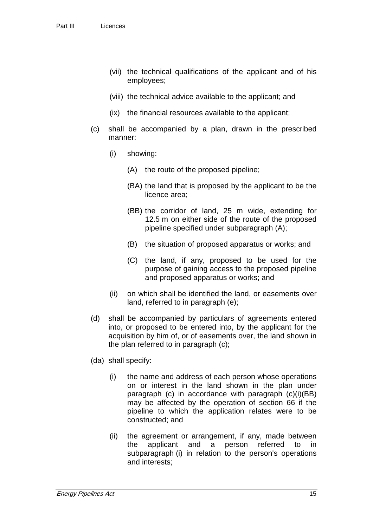- (vii) the technical qualifications of the applicant and of his employees;
- (viii) the technical advice available to the applicant; and
- (ix) the financial resources available to the applicant;
- (c) shall be accompanied by a plan, drawn in the prescribed manner:
	- (i) showing:
		- (A) the route of the proposed pipeline;
		- (BA) the land that is proposed by the applicant to be the licence area;
		- (BB) the corridor of land, 25 m wide, extending for 12.5 m on either side of the route of the proposed pipeline specified under subparagraph (A);
		- (B) the situation of proposed apparatus or works; and
		- (C) the land, if any, proposed to be used for the purpose of gaining access to the proposed pipeline and proposed apparatus or works; and
	- (ii) on which shall be identified the land, or easements over land, referred to in paragraph (e);
- (d) shall be accompanied by particulars of agreements entered into, or proposed to be entered into, by the applicant for the acquisition by him of, or of easements over, the land shown in the plan referred to in paragraph (c);
- (da) shall specify:
	- (i) the name and address of each person whose operations on or interest in the land shown in the plan under paragraph (c) in accordance with paragraph (c)(i)(BB) may be affected by the operation of section 66 if the pipeline to which the application relates were to be constructed; and
	- (ii) the agreement or arrangement, if any, made between the applicant and a person referred to in subparagraph (i) in relation to the person's operations and interests;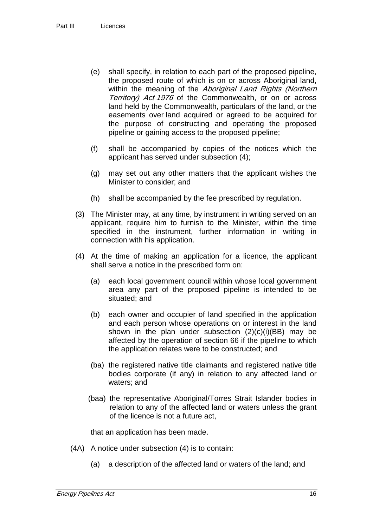- (e) shall specify, in relation to each part of the proposed pipeline, the proposed route of which is on or across Aboriginal land, within the meaning of the Aboriginal Land Rights (Northern Territory) Act 1976 of the Commonwealth, or on or across land held by the Commonwealth, particulars of the land, or the easements over land acquired or agreed to be acquired for the purpose of constructing and operating the proposed pipeline or gaining access to the proposed pipeline;
- (f) shall be accompanied by copies of the notices which the applicant has served under subsection (4);
- (g) may set out any other matters that the applicant wishes the Minister to consider; and
- (h) shall be accompanied by the fee prescribed by regulation.
- (3) The Minister may, at any time, by instrument in writing served on an applicant, require him to furnish to the Minister, within the time specified in the instrument, further information in writing in connection with his application.
- (4) At the time of making an application for a licence, the applicant shall serve a notice in the prescribed form on:
	- (a) each local government council within whose local government area any part of the proposed pipeline is intended to be situated; and
	- (b) each owner and occupier of land specified in the application and each person whose operations on or interest in the land shown in the plan under subsection  $(2)(c)(i)(BB)$  may be affected by the operation of section 66 if the pipeline to which the application relates were to be constructed; and
	- (ba) the registered native title claimants and registered native title bodies corporate (if any) in relation to any affected land or waters; and
	- (baa) the representative Aboriginal/Torres Strait Islander bodies in relation to any of the affected land or waters unless the grant of the licence is not a future act,

that an application has been made.

- (4A) A notice under subsection (4) is to contain:
	- (a) a description of the affected land or waters of the land; and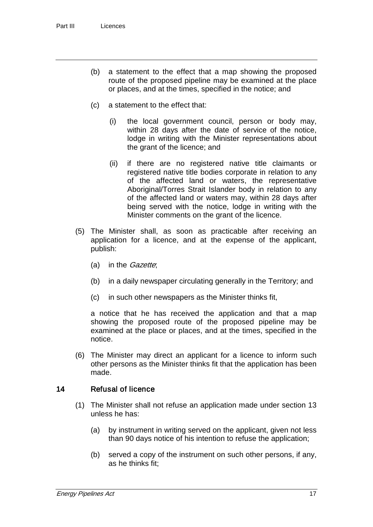- (b) a statement to the effect that a map showing the proposed route of the proposed pipeline may be examined at the place or places, and at the times, specified in the notice; and
- (c) a statement to the effect that:
	- (i) the local government council, person or body may, within 28 days after the date of service of the notice, lodge in writing with the Minister representations about the grant of the licence; and
	- (ii) if there are no registered native title claimants or registered native title bodies corporate in relation to any of the affected land or waters, the representative Aboriginal/Torres Strait Islander body in relation to any of the affected land or waters may, within 28 days after being served with the notice, lodge in writing with the Minister comments on the grant of the licence.
- (5) The Minister shall, as soon as practicable after receiving an application for a licence, and at the expense of the applicant, publish:
	- (a) in the *Gazette*;
	- (b) in a daily newspaper circulating generally in the Territory; and
	- (c) in such other newspapers as the Minister thinks fit,

a notice that he has received the application and that a map showing the proposed route of the proposed pipeline may be examined at the place or places, and at the times, specified in the notice.

(6) The Minister may direct an applicant for a licence to inform such other persons as the Minister thinks fit that the application has been made.

#### 14 Refusal of licence

- (1) The Minister shall not refuse an application made under section 13 unless he has:
	- (a) by instrument in writing served on the applicant, given not less than 90 days notice of his intention to refuse the application;
	- (b) served a copy of the instrument on such other persons, if any, as he thinks fit;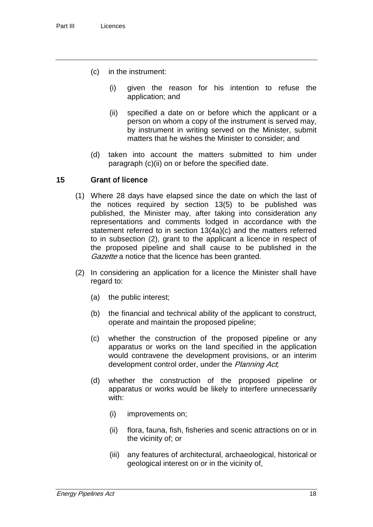- (c) in the instrument:
	- (i) given the reason for his intention to refuse the application; and
	- (ii) specified a date on or before which the applicant or a person on whom a copy of the instrument is served may, by instrument in writing served on the Minister, submit matters that he wishes the Minister to consider; and
- (d) taken into account the matters submitted to him under paragraph (c)(ii) on or before the specified date.

#### 15 Grant of licence

- (1) Where 28 days have elapsed since the date on which the last of the notices required by section 13(5) to be published was published, the Minister may, after taking into consideration any representations and comments lodged in accordance with the statement referred to in section 13(4a)(c) and the matters referred to in subsection (2), grant to the applicant a licence in respect of the proposed pipeline and shall cause to be published in the Gazette a notice that the licence has been granted.
- (2) In considering an application for a licence the Minister shall have regard to:
	- (a) the public interest;
	- (b) the financial and technical ability of the applicant to construct, operate and maintain the proposed pipeline;
	- (c) whether the construction of the proposed pipeline or any apparatus or works on the land specified in the application would contravene the development provisions, or an interim development control order, under the *Planning Act*,
	- (d) whether the construction of the proposed pipeline or apparatus or works would be likely to interfere unnecessarily with:
		- (i) improvements on;
		- (ii) flora, fauna, fish, fisheries and scenic attractions on or in the vicinity of; or
		- (iii) any features of architectural, archaeological, historical or geological interest on or in the vicinity of,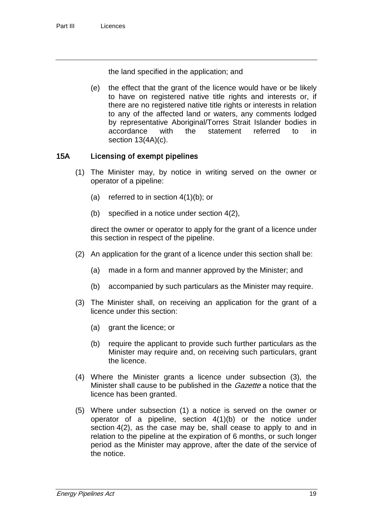the land specified in the application; and

(e) the effect that the grant of the licence would have or be likely to have on registered native title rights and interests or, if there are no registered native title rights or interests in relation to any of the affected land or waters, any comments lodged by representative Aboriginal/Torres Strait Islander bodies in<br>accordance with the statement referred to in accordance with the statement referred to in section 13(4A)(c).

### 15A Licensing of exempt pipelines

- (1) The Minister may, by notice in writing served on the owner or operator of a pipeline:
	- (a) referred to in section 4(1)(b); or
	- (b) specified in a notice under section 4(2),

direct the owner or operator to apply for the grant of a licence under this section in respect of the pipeline.

- (2) An application for the grant of a licence under this section shall be:
	- (a) made in a form and manner approved by the Minister; and
	- (b) accompanied by such particulars as the Minister may require.
- (3) The Minister shall, on receiving an application for the grant of a licence under this section:
	- (a) grant the licence; or
	- (b) require the applicant to provide such further particulars as the Minister may require and, on receiving such particulars, grant the licence.
- (4) Where the Minister grants a licence under subsection (3), the Minister shall cause to be published in the *Gazette* a notice that the licence has been granted.
- (5) Where under subsection (1) a notice is served on the owner or operator of a pipeline, section 4(1)(b) or the notice under section 4(2), as the case may be, shall cease to apply to and in relation to the pipeline at the expiration of 6 months, or such longer period as the Minister may approve, after the date of the service of the notice.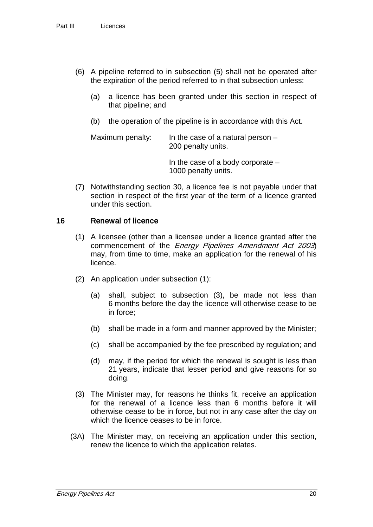- (6) A pipeline referred to in subsection (5) shall not be operated after the expiration of the period referred to in that subsection unless:
	- (a) a licence has been granted under this section in respect of that pipeline; and
	- (b) the operation of the pipeline is in accordance with this Act.

Maximum penalty: In the case of a natural person  $-$ 200 penalty units.

> In the case of a body corporate – 1000 penalty units.

(7) Notwithstanding section 30, a licence fee is not payable under that section in respect of the first year of the term of a licence granted under this section.

#### 16 Renewal of licence

- (1) A licensee (other than a licensee under a licence granted after the commencement of the Energy Pipelines Amendment Act 2003) may, from time to time, make an application for the renewal of his licence.
- (2) An application under subsection (1):
	- (a) shall, subject to subsection (3), be made not less than 6 months before the day the licence will otherwise cease to be in force;
	- (b) shall be made in a form and manner approved by the Minister;
	- (c) shall be accompanied by the fee prescribed by regulation; and
	- (d) may, if the period for which the renewal is sought is less than 21 years, indicate that lesser period and give reasons for so doing.
- (3) The Minister may, for reasons he thinks fit, receive an application for the renewal of a licence less than 6 months before it will otherwise cease to be in force, but not in any case after the day on which the licence ceases to be in force.
- (3A) The Minister may, on receiving an application under this section, renew the licence to which the application relates.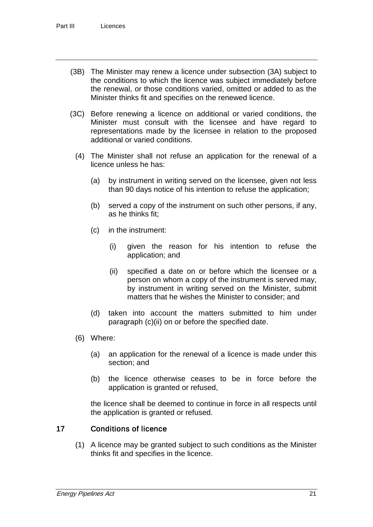- (3B) The Minister may renew a licence under subsection (3A) subject to the conditions to which the licence was subject immediately before the renewal, or those conditions varied, omitted or added to as the Minister thinks fit and specifies on the renewed licence.
- (3C) Before renewing a licence on additional or varied conditions, the Minister must consult with the licensee and have regard to representations made by the licensee in relation to the proposed additional or varied conditions.
	- (4) The Minister shall not refuse an application for the renewal of a licence unless he has:
		- (a) by instrument in writing served on the licensee, given not less than 90 days notice of his intention to refuse the application;
		- (b) served a copy of the instrument on such other persons, if any, as he thinks fit;
		- (c) in the instrument:
			- (i) given the reason for his intention to refuse the application; and
			- (ii) specified a date on or before which the licensee or a person on whom a copy of the instrument is served may, by instrument in writing served on the Minister, submit matters that he wishes the Minister to consider; and
		- (d) taken into account the matters submitted to him under paragraph (c)(ii) on or before the specified date.
	- (6) Where:
		- (a) an application for the renewal of a licence is made under this section; and
		- (b) the licence otherwise ceases to be in force before the application is granted or refused,

the licence shall be deemed to continue in force in all respects until the application is granted or refused.

### 17 Conditions of licence

(1) A licence may be granted subject to such conditions as the Minister thinks fit and specifies in the licence.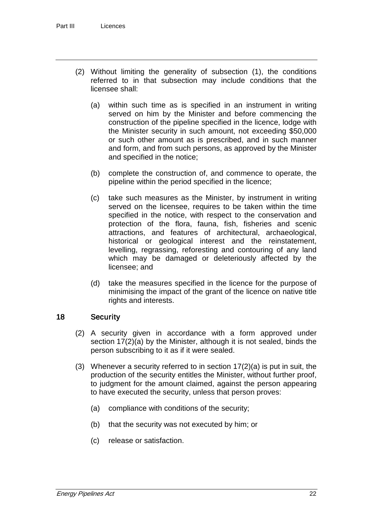- (2) Without limiting the generality of subsection (1), the conditions referred to in that subsection may include conditions that the licensee shall:
	- (a) within such time as is specified in an instrument in writing served on him by the Minister and before commencing the construction of the pipeline specified in the licence, lodge with the Minister security in such amount, not exceeding \$50,000 or such other amount as is prescribed, and in such manner and form, and from such persons, as approved by the Minister and specified in the notice;
	- (b) complete the construction of, and commence to operate, the pipeline within the period specified in the licence;
	- (c) take such measures as the Minister, by instrument in writing served on the licensee, requires to be taken within the time specified in the notice, with respect to the conservation and protection of the flora, fauna, fish, fisheries and scenic attractions, and features of architectural, archaeological, historical or geological interest and the reinstatement, levelling, regrassing, reforesting and contouring of any land which may be damaged or deleteriously affected by the licensee; and
	- (d) take the measures specified in the licence for the purpose of minimising the impact of the grant of the licence on native title rights and interests.

### 18 Security

- (2) A security given in accordance with a form approved under section 17(2)(a) by the Minister, although it is not sealed, binds the person subscribing to it as if it were sealed.
- (3) Whenever a security referred to in section  $17(2)(a)$  is put in suit, the production of the security entitles the Minister, without further proof, to judgment for the amount claimed, against the person appearing to have executed the security, unless that person proves:
	- (a) compliance with conditions of the security;
	- (b) that the security was not executed by him; or
	- (c) release or satisfaction.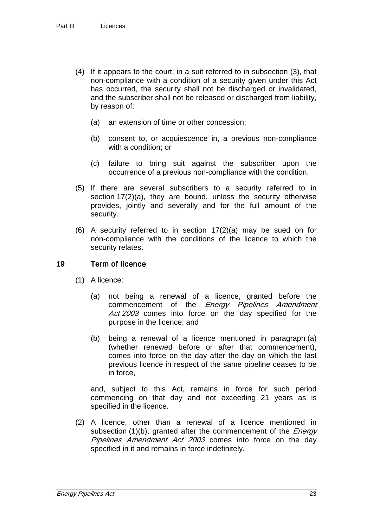- (4) If it appears to the court, in a suit referred to in subsection (3), that non-compliance with a condition of a security given under this Act has occurred, the security shall not be discharged or invalidated, and the subscriber shall not be released or discharged from liability, by reason of:
	- (a) an extension of time or other concession;
	- (b) consent to, or acquiescence in, a previous non-compliance with a condition; or
	- (c) failure to bring suit against the subscriber upon the occurrence of a previous non-compliance with the condition.
- (5) If there are several subscribers to a security referred to in section 17(2)(a), they are bound, unless the security otherwise provides, jointly and severally and for the full amount of the security.
- (6) A security referred to in section 17(2)(a) may be sued on for non-compliance with the conditions of the licence to which the security relates.

#### 19 Term of licence

- (1) A licence:
	- (a) not being a renewal of a licence, granted before the commencement of the *Energy Pipelines Amendment* Act 2003 comes into force on the day specified for the purpose in the licence; and
	- (b) being a renewal of a licence mentioned in paragraph (a) (whether renewed before or after that commencement), comes into force on the day after the day on which the last previous licence in respect of the same pipeline ceases to be in force,

and, subject to this Act, remains in force for such period commencing on that day and not exceeding 21 years as is specified in the licence.

(2) A licence, other than a renewal of a licence mentioned in subsection (1)(b), granted after the commencement of the *Energy* Pipelines Amendment Act 2003 comes into force on the day specified in it and remains in force indefinitely.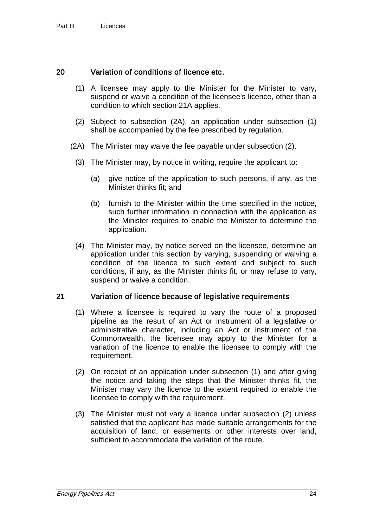### 20 Variation of conditions of licence etc.

- (1) A licensee may apply to the Minister for the Minister to vary, suspend or waive a condition of the licensee's licence, other than a condition to which section 21A applies.
- (2) Subject to subsection (2A), an application under subsection (1) shall be accompanied by the fee prescribed by regulation.
- (2A) The Minister may waive the fee payable under subsection (2).
	- (3) The Minister may, by notice in writing, require the applicant to:
		- (a) give notice of the application to such persons, if any, as the Minister thinks fit; and
		- (b) furnish to the Minister within the time specified in the notice, such further information in connection with the application as the Minister requires to enable the Minister to determine the application.
	- (4) The Minister may, by notice served on the licensee, determine an application under this section by varying, suspending or waiving a condition of the licence to such extent and subject to such conditions, if any, as the Minister thinks fit, or may refuse to vary, suspend or waive a condition.

#### 21 Variation of licence because of legislative requirements

- (1) Where a licensee is required to vary the route of a proposed pipeline as the result of an Act or instrument of a legislative or administrative character, including an Act or instrument of the Commonwealth, the licensee may apply to the Minister for a variation of the licence to enable the licensee to comply with the requirement.
- (2) On receipt of an application under subsection (1) and after giving the notice and taking the steps that the Minister thinks fit, the Minister may vary the licence to the extent required to enable the licensee to comply with the requirement.
- (3) The Minister must not vary a licence under subsection (2) unless satisfied that the applicant has made suitable arrangements for the acquisition of land, or easements or other interests over land, sufficient to accommodate the variation of the route.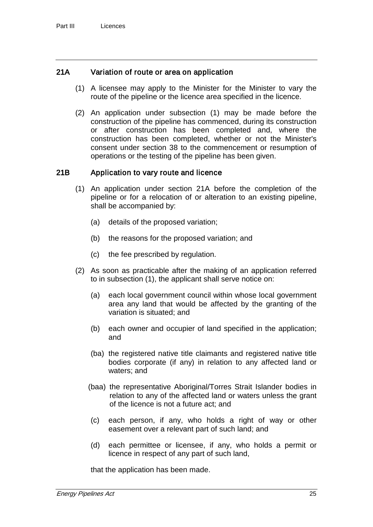### 21A Variation of route or area on application

- (1) A licensee may apply to the Minister for the Minister to vary the route of the pipeline or the licence area specified in the licence.
- (2) An application under subsection (1) may be made before the construction of the pipeline has commenced, during its construction or after construction has been completed and, where the construction has been completed, whether or not the Minister's consent under section 38 to the commencement or resumption of operations or the testing of the pipeline has been given.

### 21B Application to vary route and licence

- (1) An application under section 21A before the completion of the pipeline or for a relocation of or alteration to an existing pipeline, shall be accompanied by:
	- (a) details of the proposed variation;
	- (b) the reasons for the proposed variation; and
	- (c) the fee prescribed by regulation.
- (2) As soon as practicable after the making of an application referred to in subsection (1), the applicant shall serve notice on:
	- (a) each local government council within whose local government area any land that would be affected by the granting of the variation is situated; and
	- (b) each owner and occupier of land specified in the application; and
	- (ba) the registered native title claimants and registered native title bodies corporate (if any) in relation to any affected land or waters; and
	- (baa) the representative Aboriginal/Torres Strait Islander bodies in relation to any of the affected land or waters unless the grant of the licence is not a future act; and
	- (c) each person, if any, who holds a right of way or other easement over a relevant part of such land; and
	- (d) each permittee or licensee, if any, who holds a permit or licence in respect of any part of such land,

that the application has been made.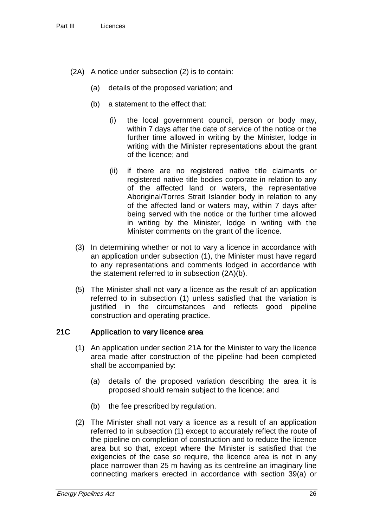- (2A) A notice under subsection (2) is to contain:
	- (a) details of the proposed variation; and
	- (b) a statement to the effect that:
		- (i) the local government council, person or body may, within 7 days after the date of service of the notice or the further time allowed in writing by the Minister, lodge in writing with the Minister representations about the grant of the licence; and
		- (ii) if there are no registered native title claimants or registered native title bodies corporate in relation to any of the affected land or waters, the representative Aboriginal/Torres Strait Islander body in relation to any of the affected land or waters may, within 7 days after being served with the notice or the further time allowed in writing by the Minister, lodge in writing with the Minister comments on the grant of the licence.
	- (3) In determining whether or not to vary a licence in accordance with an application under subsection (1), the Minister must have regard to any representations and comments lodged in accordance with the statement referred to in subsection (2A)(b).
	- (5) The Minister shall not vary a licence as the result of an application referred to in subsection (1) unless satisfied that the variation is justified in the circumstances and reflects good pipeline construction and operating practice.

#### 21C Application to vary licence area

- (1) An application under section 21A for the Minister to vary the licence area made after construction of the pipeline had been completed shall be accompanied by:
	- (a) details of the proposed variation describing the area it is proposed should remain subject to the licence; and
	- (b) the fee prescribed by regulation.
- (2) The Minister shall not vary a licence as a result of an application referred to in subsection (1) except to accurately reflect the route of the pipeline on completion of construction and to reduce the licence area but so that, except where the Minister is satisfied that the exigencies of the case so require, the licence area is not in any place narrower than 25 m having as its centreline an imaginary line connecting markers erected in accordance with section 39(a) or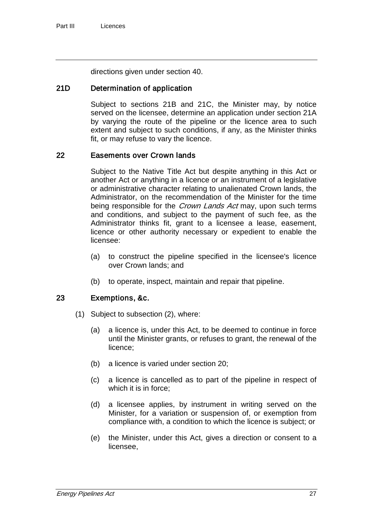directions given under section 40.

### 21D Determination of application

Subject to sections 21B and 21C, the Minister may, by notice served on the licensee, determine an application under section 21A by varying the route of the pipeline or the licence area to such extent and subject to such conditions, if any, as the Minister thinks fit, or may refuse to vary the licence.

#### 22 Easements over Crown lands

Subject to the Native Title Act but despite anything in this Act or another Act or anything in a licence or an instrument of a legislative or administrative character relating to unalienated Crown lands, the Administrator, on the recommendation of the Minister for the time being responsible for the *Crown Lands Act* may, upon such terms and conditions, and subject to the payment of such fee, as the Administrator thinks fit, grant to a licensee a lease, easement, licence or other authority necessary or expedient to enable the licensee:

- (a) to construct the pipeline specified in the licensee's licence over Crown lands; and
- (b) to operate, inspect, maintain and repair that pipeline.

#### 23 Exemptions, &c.

- (1) Subject to subsection (2), where:
	- (a) a licence is, under this Act, to be deemed to continue in force until the Minister grants, or refuses to grant, the renewal of the licence;
	- (b) a licence is varied under section 20;
	- (c) a licence is cancelled as to part of the pipeline in respect of which it is in force;
	- (d) a licensee applies, by instrument in writing served on the Minister, for a variation or suspension of, or exemption from compliance with, a condition to which the licence is subject; or
	- (e) the Minister, under this Act, gives a direction or consent to a licensee,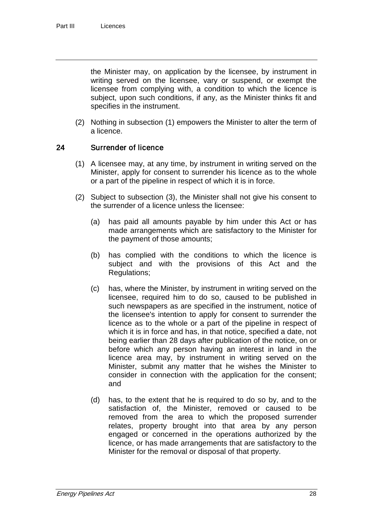the Minister may, on application by the licensee, by instrument in writing served on the licensee, vary or suspend, or exempt the licensee from complying with, a condition to which the licence is subject, upon such conditions, if any, as the Minister thinks fit and specifies in the instrument.

(2) Nothing in subsection (1) empowers the Minister to alter the term of a licence.

## 24 Surrender of licence

- (1) A licensee may, at any time, by instrument in writing served on the Minister, apply for consent to surrender his licence as to the whole or a part of the pipeline in respect of which it is in force.
- (2) Subject to subsection (3), the Minister shall not give his consent to the surrender of a licence unless the licensee:
	- (a) has paid all amounts payable by him under this Act or has made arrangements which are satisfactory to the Minister for the payment of those amounts;
	- (b) has complied with the conditions to which the licence is subject and with the provisions of this Act and the Regulations;
	- (c) has, where the Minister, by instrument in writing served on the licensee, required him to do so, caused to be published in such newspapers as are specified in the instrument, notice of the licensee's intention to apply for consent to surrender the licence as to the whole or a part of the pipeline in respect of which it is in force and has, in that notice, specified a date, not being earlier than 28 days after publication of the notice, on or before which any person having an interest in land in the licence area may, by instrument in writing served on the Minister, submit any matter that he wishes the Minister to consider in connection with the application for the consent; and
	- (d) has, to the extent that he is required to do so by, and to the satisfaction of, the Minister, removed or caused to be removed from the area to which the proposed surrender relates, property brought into that area by any person engaged or concerned in the operations authorized by the licence, or has made arrangements that are satisfactory to the Minister for the removal or disposal of that property.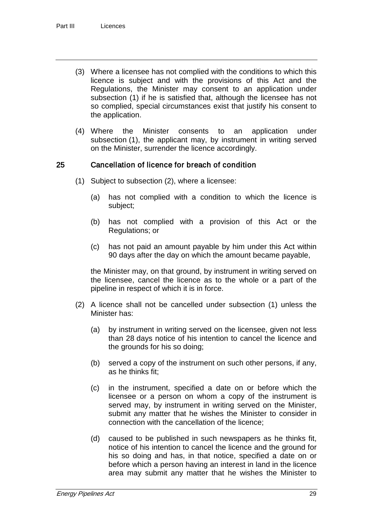- (3) Where a licensee has not complied with the conditions to which this licence is subject and with the provisions of this Act and the Regulations, the Minister may consent to an application under subsection (1) if he is satisfied that, although the licensee has not so complied, special circumstances exist that justify his consent to the application.
- (4) Where the Minister consents to an application under subsection (1), the applicant may, by instrument in writing served on the Minister, surrender the licence accordingly.

### 25 Cancellation of licence for breach of condition

- (1) Subject to subsection (2), where a licensee:
	- (a) has not complied with a condition to which the licence is subject;
	- (b) has not complied with a provision of this Act or the Regulations; or
	- (c) has not paid an amount payable by him under this Act within 90 days after the day on which the amount became payable,

the Minister may, on that ground, by instrument in writing served on the licensee, cancel the licence as to the whole or a part of the pipeline in respect of which it is in force.

- (2) A licence shall not be cancelled under subsection (1) unless the Minister has:
	- (a) by instrument in writing served on the licensee, given not less than 28 days notice of his intention to cancel the licence and the grounds for his so doing;
	- (b) served a copy of the instrument on such other persons, if any, as he thinks fit;
	- (c) in the instrument, specified a date on or before which the licensee or a person on whom a copy of the instrument is served may, by instrument in writing served on the Minister, submit any matter that he wishes the Minister to consider in connection with the cancellation of the licence;
	- (d) caused to be published in such newspapers as he thinks fit, notice of his intention to cancel the licence and the ground for his so doing and has, in that notice, specified a date on or before which a person having an interest in land in the licence area may submit any matter that he wishes the Minister to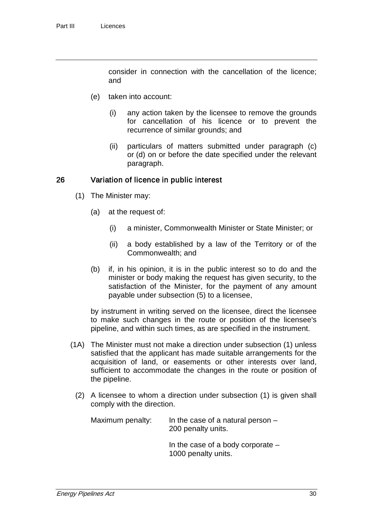consider in connection with the cancellation of the licence; and

- (e) taken into account:
	- (i) any action taken by the licensee to remove the grounds for cancellation of his licence or to prevent the recurrence of similar grounds; and
	- (ii) particulars of matters submitted under paragraph (c) or (d) on or before the date specified under the relevant paragraph.

#### 26 Variation of licence in public interest

- (1) The Minister may:
	- (a) at the request of:
		- (i) a minister, Commonwealth Minister or State Minister; or
		- (ii) a body established by a law of the Territory or of the Commonwealth; and
	- (b) if, in his opinion, it is in the public interest so to do and the minister or body making the request has given security, to the satisfaction of the Minister, for the payment of any amount payable under subsection (5) to a licensee,

by instrument in writing served on the licensee, direct the licensee to make such changes in the route or position of the licensee's pipeline, and within such times, as are specified in the instrument.

- (1A) The Minister must not make a direction under subsection (1) unless satisfied that the applicant has made suitable arrangements for the acquisition of land, or easements or other interests over land, sufficient to accommodate the changes in the route or position of the pipeline.
	- (2) A licensee to whom a direction under subsection (1) is given shall comply with the direction.

| Maximum penalty: | In the case of a natural person $-$<br>200 penalty units.  |
|------------------|------------------------------------------------------------|
|                  | In the case of a body corporate $-$<br>1000 penalty units. |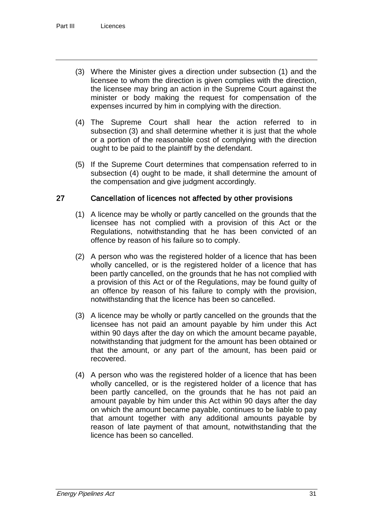- (3) Where the Minister gives a direction under subsection (1) and the licensee to whom the direction is given complies with the direction, the licensee may bring an action in the Supreme Court against the minister or body making the request for compensation of the expenses incurred by him in complying with the direction.
- (4) The Supreme Court shall hear the action referred to in subsection (3) and shall determine whether it is just that the whole or a portion of the reasonable cost of complying with the direction ought to be paid to the plaintiff by the defendant.
- (5) If the Supreme Court determines that compensation referred to in subsection (4) ought to be made, it shall determine the amount of the compensation and give judgment accordingly.

### 27 Cancellation of licences not affected by other provisions

- (1) A licence may be wholly or partly cancelled on the grounds that the licensee has not complied with a provision of this Act or the Regulations, notwithstanding that he has been convicted of an offence by reason of his failure so to comply.
- (2) A person who was the registered holder of a licence that has been wholly cancelled, or is the registered holder of a licence that has been partly cancelled, on the grounds that he has not complied with a provision of this Act or of the Regulations, may be found guilty of an offence by reason of his failure to comply with the provision, notwithstanding that the licence has been so cancelled.
- (3) A licence may be wholly or partly cancelled on the grounds that the licensee has not paid an amount payable by him under this Act within 90 days after the day on which the amount became payable, notwithstanding that judgment for the amount has been obtained or that the amount, or any part of the amount, has been paid or recovered.
- (4) A person who was the registered holder of a licence that has been wholly cancelled, or is the registered holder of a licence that has been partly cancelled, on the grounds that he has not paid an amount payable by him under this Act within 90 days after the day on which the amount became payable, continues to be liable to pay that amount together with any additional amounts payable by reason of late payment of that amount, notwithstanding that the licence has been so cancelled.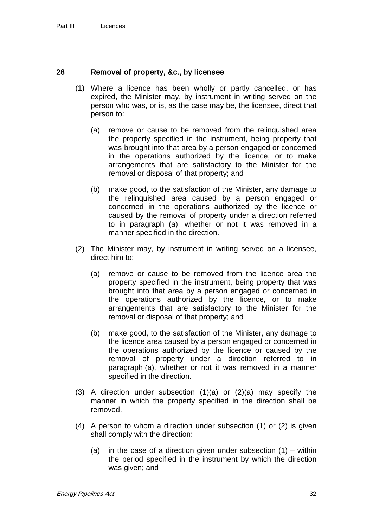### 28 Removal of property, &c., by licensee

- (1) Where a licence has been wholly or partly cancelled, or has expired, the Minister may, by instrument in writing served on the person who was, or is, as the case may be, the licensee, direct that person to:
	- (a) remove or cause to be removed from the relinquished area the property specified in the instrument, being property that was brought into that area by a person engaged or concerned in the operations authorized by the licence, or to make arrangements that are satisfactory to the Minister for the removal or disposal of that property; and
	- (b) make good, to the satisfaction of the Minister, any damage to the relinquished area caused by a person engaged or concerned in the operations authorized by the licence or caused by the removal of property under a direction referred to in paragraph (a), whether or not it was removed in a manner specified in the direction.
- (2) The Minister may, by instrument in writing served on a licensee, direct him to:
	- (a) remove or cause to be removed from the licence area the property specified in the instrument, being property that was brought into that area by a person engaged or concerned in the operations authorized by the licence, or to make arrangements that are satisfactory to the Minister for the removal or disposal of that property; and
	- (b) make good, to the satisfaction of the Minister, any damage to the licence area caused by a person engaged or concerned in the operations authorized by the licence or caused by the removal of property under a direction referred to in paragraph (a), whether or not it was removed in a manner specified in the direction.
- (3) A direction under subsection (1)(a) or (2)(a) may specify the manner in which the property specified in the direction shall be removed.
- (4) A person to whom a direction under subsection (1) or (2) is given shall comply with the direction:
	- (a) in the case of a direction given under subsection  $(1)$  within the period specified in the instrument by which the direction was given; and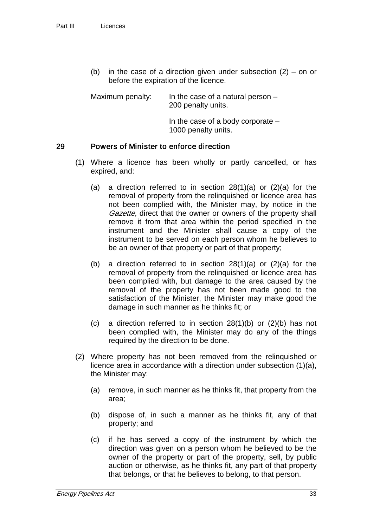(b) in the case of a direction given under subsection  $(2)$  – on or before the expiration of the licence.

Maximum penalty: In the case of a natural person – 200 penalty units.

> In the case of a body corporate – 1000 penalty units.

#### 29 Powers of Minister to enforce direction

- (1) Where a licence has been wholly or partly cancelled, or has expired, and:
	- (a) a direction referred to in section  $28(1)(a)$  or  $(2)(a)$  for the removal of property from the relinquished or licence area has not been complied with, the Minister may, by notice in the Gazette, direct that the owner or owners of the property shall remove it from that area within the period specified in the instrument and the Minister shall cause a copy of the instrument to be served on each person whom he believes to be an owner of that property or part of that property;
	- (b) a direction referred to in section  $28(1)(a)$  or  $(2)(a)$  for the removal of property from the relinquished or licence area has been complied with, but damage to the area caused by the removal of the property has not been made good to the satisfaction of the Minister, the Minister may make good the damage in such manner as he thinks fit; or
	- (c) a direction referred to in section 28(1)(b) or (2)(b) has not been complied with, the Minister may do any of the things required by the direction to be done.
- (2) Where property has not been removed from the relinquished or licence area in accordance with a direction under subsection (1)(a), the Minister may:
	- (a) remove, in such manner as he thinks fit, that property from the area;
	- (b) dispose of, in such a manner as he thinks fit, any of that property; and
	- (c) if he has served a copy of the instrument by which the direction was given on a person whom he believed to be the owner of the property or part of the property, sell, by public auction or otherwise, as he thinks fit, any part of that property that belongs, or that he believes to belong, to that person.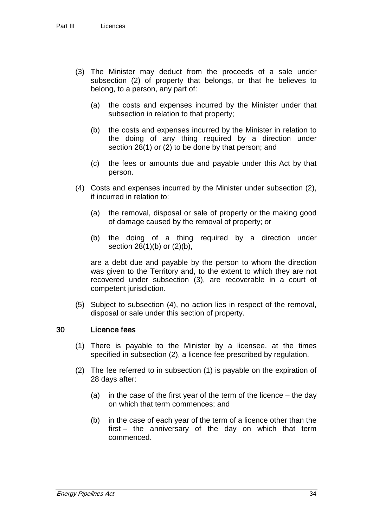- (3) The Minister may deduct from the proceeds of a sale under subsection (2) of property that belongs, or that he believes to belong, to a person, any part of:
	- (a) the costs and expenses incurred by the Minister under that subsection in relation to that property;
	- (b) the costs and expenses incurred by the Minister in relation to the doing of any thing required by a direction under section 28(1) or (2) to be done by that person; and
	- (c) the fees or amounts due and payable under this Act by that person.
- (4) Costs and expenses incurred by the Minister under subsection (2), if incurred in relation to:
	- (a) the removal, disposal or sale of property or the making good of damage caused by the removal of property; or
	- (b) the doing of a thing required by a direction under section 28(1)(b) or (2)(b),

are a debt due and payable by the person to whom the direction was given to the Territory and, to the extent to which they are not recovered under subsection (3), are recoverable in a court of competent jurisdiction.

(5) Subject to subsection (4), no action lies in respect of the removal, disposal or sale under this section of property.

# 30 Licence fees

- (1) There is payable to the Minister by a licensee, at the times specified in subsection (2), a licence fee prescribed by regulation.
- (2) The fee referred to in subsection (1) is payable on the expiration of 28 days after:
	- (a) in the case of the first year of the term of the licence the day on which that term commences; and
	- (b) in the case of each year of the term of a licence other than the first – the anniversary of the day on which that term commenced.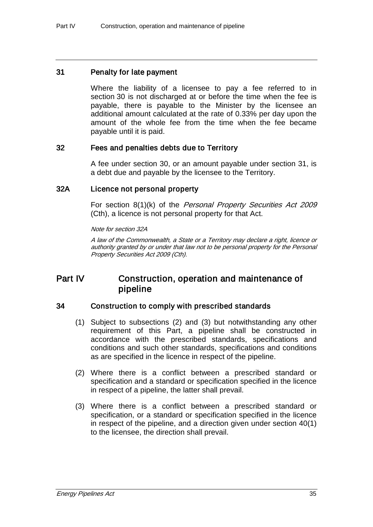### 31 Penalty for late payment

Where the liability of a licensee to pay a fee referred to in section 30 is not discharged at or before the time when the fee is payable, there is payable to the Minister by the licensee an additional amount calculated at the rate of 0.33% per day upon the amount of the whole fee from the time when the fee became payable until it is paid.

# 32 Fees and penalties debts due to Territory

A fee under section 30, or an amount payable under section 31, is a debt due and payable by the licensee to the Territory.

# 32A Licence not personal property

For section 8(1)(k) of the *Personal Property Securities Act 2009* (Cth), a licence is not personal property for that Act.

Note for section 32A

A law of the Commonwealth, a State or a Territory may declare a right, licence or authority granted by or under that law not to be personal property for the Personal Property Securities Act 2009 (Cth).

# Part IV Construction, operation and maintenance of pipeline

# 34 Construction to comply with prescribed standards

- (1) Subject to subsections (2) and (3) but notwithstanding any other requirement of this Part, a pipeline shall be constructed in accordance with the prescribed standards, specifications and conditions and such other standards, specifications and conditions as are specified in the licence in respect of the pipeline.
- (2) Where there is a conflict between a prescribed standard or specification and a standard or specification specified in the licence in respect of a pipeline, the latter shall prevail.
- (3) Where there is a conflict between a prescribed standard or specification, or a standard or specification specified in the licence in respect of the pipeline, and a direction given under section 40(1) to the licensee, the direction shall prevail.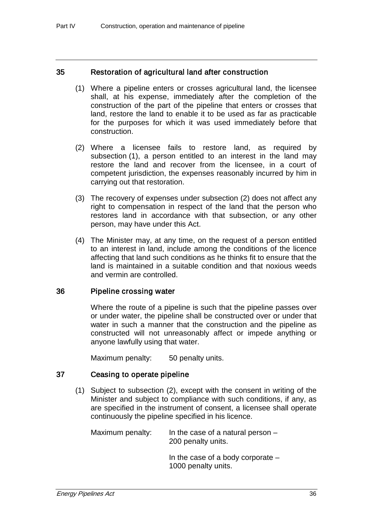# 35 Restoration of agricultural land after construction

- (1) Where a pipeline enters or crosses agricultural land, the licensee shall, at his expense, immediately after the completion of the construction of the part of the pipeline that enters or crosses that land, restore the land to enable it to be used as far as practicable for the purposes for which it was used immediately before that construction.
- (2) Where a licensee fails to restore land, as required by subsection (1), a person entitled to an interest in the land may restore the land and recover from the licensee, in a court of competent jurisdiction, the expenses reasonably incurred by him in carrying out that restoration.
- (3) The recovery of expenses under subsection (2) does not affect any right to compensation in respect of the land that the person who restores land in accordance with that subsection, or any other person, may have under this Act.
- (4) The Minister may, at any time, on the request of a person entitled to an interest in land, include among the conditions of the licence affecting that land such conditions as he thinks fit to ensure that the land is maintained in a suitable condition and that noxious weeds and vermin are controlled.

# 36 Pipeline crossing water

Where the route of a pipeline is such that the pipeline passes over or under water, the pipeline shall be constructed over or under that water in such a manner that the construction and the pipeline as constructed will not unreasonably affect or impede anything or anyone lawfully using that water.

Maximum penalty: 50 penalty units.

# 37 Ceasing to operate pipeline

(1) Subject to subsection (2), except with the consent in writing of the Minister and subject to compliance with such conditions, if any, as are specified in the instrument of consent, a licensee shall operate continuously the pipeline specified in his licence.

Maximum penalty: In the case of a natural person  $-$ 200 penalty units.

> In the case of a body corporate – 1000 penalty units.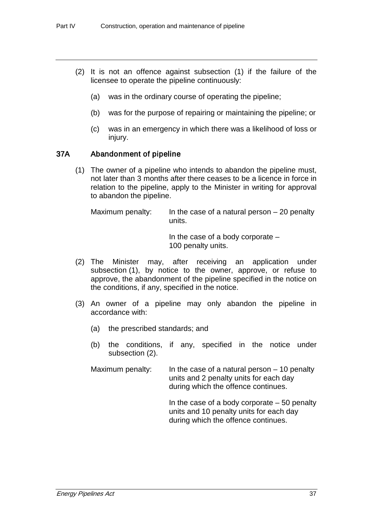- (2) It is not an offence against subsection (1) if the failure of the licensee to operate the pipeline continuously:
	- (a) was in the ordinary course of operating the pipeline;
	- (b) was for the purpose of repairing or maintaining the pipeline; or
	- (c) was in an emergency in which there was a likelihood of loss or injury.

# 37A Abandonment of pipeline

(1) The owner of a pipeline who intends to abandon the pipeline must, not later than 3 months after there ceases to be a licence in force in relation to the pipeline, apply to the Minister in writing for approval to abandon the pipeline.

Maximum penalty: In the case of a natural person  $-20$  penalty units.

> In the case of a body corporate – 100 penalty units.

- (2) The Minister may, after receiving an application under subsection (1), by notice to the owner, approve, or refuse to approve, the abandonment of the pipeline specified in the notice on the conditions, if any, specified in the notice.
- (3) An owner of a pipeline may only abandon the pipeline in accordance with:
	- (a) the prescribed standards; and
	- (b) the conditions, if any, specified in the notice under subsection (2).

Maximum penalty: In the case of a natural person  $-10$  penalty units and 2 penalty units for each day during which the offence continues.

> In the case of a body corporate  $-50$  penalty units and 10 penalty units for each day during which the offence continues.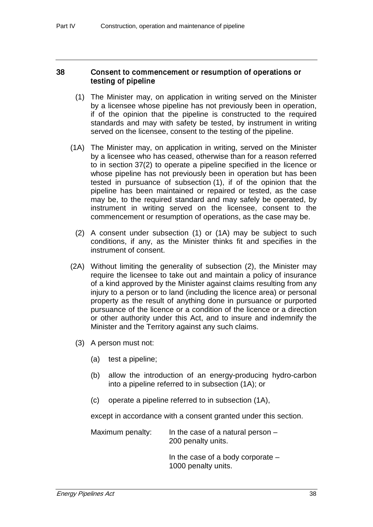# 38 Consent to commencement or resumption of operations or testing of pipeline

- (1) The Minister may, on application in writing served on the Minister by a licensee whose pipeline has not previously been in operation, if of the opinion that the pipeline is constructed to the required standards and may with safety be tested, by instrument in writing served on the licensee, consent to the testing of the pipeline.
- (1A) The Minister may, on application in writing, served on the Minister by a licensee who has ceased, otherwise than for a reason referred to in section 37(2) to operate a pipeline specified in the licence or whose pipeline has not previously been in operation but has been tested in pursuance of subsection (1), if of the opinion that the pipeline has been maintained or repaired or tested, as the case may be, to the required standard and may safely be operated, by instrument in writing served on the licensee, consent to the commencement or resumption of operations, as the case may be.
	- (2) A consent under subsection (1) or (1A) may be subject to such conditions, if any, as the Minister thinks fit and specifies in the instrument of consent.
- (2A) Without limiting the generality of subsection (2), the Minister may require the licensee to take out and maintain a policy of insurance of a kind approved by the Minister against claims resulting from any injury to a person or to land (including the licence area) or personal property as the result of anything done in pursuance or purported pursuance of the licence or a condition of the licence or a direction or other authority under this Act, and to insure and indemnify the Minister and the Territory against any such claims.
	- (3) A person must not:
		- (a) test a pipeline;
		- (b) allow the introduction of an energy-producing hydro-carbon into a pipeline referred to in subsection (1A); or
		- (c) operate a pipeline referred to in subsection (1A),

except in accordance with a consent granted under this section.

Maximum penalty: In the case of a natural person  $-$ 200 penalty units.

> In the case of a body corporate – 1000 penalty units.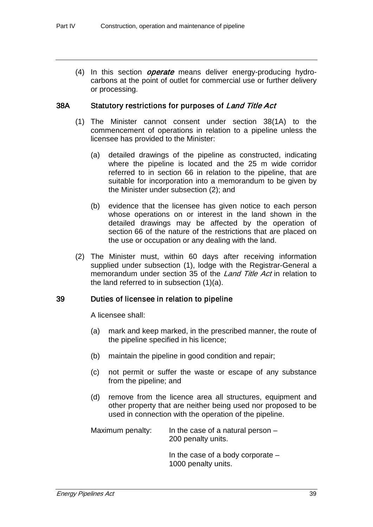(4) In this section *operate* means deliver energy-producing hydrocarbons at the point of outlet for commercial use or further delivery or processing.

# 38A Statutory restrictions for purposes of Land Title Act

- (1) The Minister cannot consent under section 38(1A) to the commencement of operations in relation to a pipeline unless the licensee has provided to the Minister:
	- (a) detailed drawings of the pipeline as constructed, indicating where the pipeline is located and the 25 m wide corridor referred to in section 66 in relation to the pipeline, that are suitable for incorporation into a memorandum to be given by the Minister under subsection (2); and
	- (b) evidence that the licensee has given notice to each person whose operations on or interest in the land shown in the detailed drawings may be affected by the operation of section 66 of the nature of the restrictions that are placed on the use or occupation or any dealing with the land.
- (2) The Minister must, within 60 days after receiving information supplied under subsection (1), lodge with the Registrar-General a memorandum under section 35 of the Land Title Act in relation to the land referred to in subsection (1)(a).

# 39 Duties of licensee in relation to pipeline

A licensee shall:

- (a) mark and keep marked, in the prescribed manner, the route of the pipeline specified in his licence;
- (b) maintain the pipeline in good condition and repair;
- (c) not permit or suffer the waste or escape of any substance from the pipeline; and
- (d) remove from the licence area all structures, equipment and other property that are neither being used nor proposed to be used in connection with the operation of the pipeline.

Maximum penalty: In the case of a natural person  $-$ 200 penalty units.

> In the case of a body corporate – 1000 penalty units.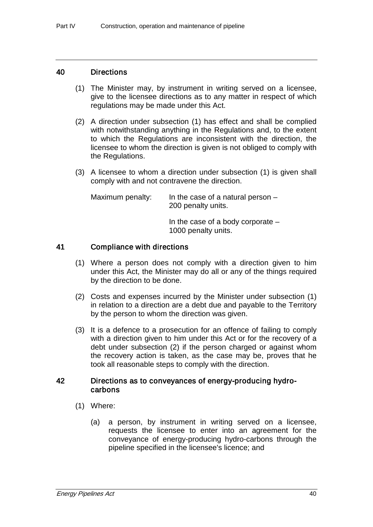### 40 Directions

- (1) The Minister may, by instrument in writing served on a licensee, give to the licensee directions as to any matter in respect of which regulations may be made under this Act.
- (2) A direction under subsection (1) has effect and shall be complied with notwithstanding anything in the Regulations and, to the extent to which the Regulations are inconsistent with the direction, the licensee to whom the direction is given is not obliged to comply with the Regulations.
- (3) A licensee to whom a direction under subsection (1) is given shall comply with and not contravene the direction.

| Maximum penalty: | In the case of a natural person $-$<br>200 penalty units.  |
|------------------|------------------------------------------------------------|
|                  | In the case of a body corporate $-$<br>1000 penalty units. |

# 41 Compliance with directions

- (1) Where a person does not comply with a direction given to him under this Act, the Minister may do all or any of the things required by the direction to be done.
- (2) Costs and expenses incurred by the Minister under subsection (1) in relation to a direction are a debt due and payable to the Territory by the person to whom the direction was given.
- (3) It is a defence to a prosecution for an offence of failing to comply with a direction given to him under this Act or for the recovery of a debt under subsection (2) if the person charged or against whom the recovery action is taken, as the case may be, proves that he took all reasonable steps to comply with the direction.

# 42 Directions as to conveyances of energy-producing hydrocarbons

- (1) Where:
	- (a) a person, by instrument in writing served on a licensee, requests the licensee to enter into an agreement for the conveyance of energy-producing hydro-carbons through the pipeline specified in the licensee's licence; and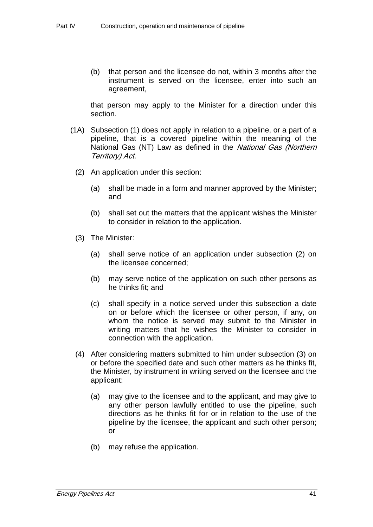(b) that person and the licensee do not, within 3 months after the instrument is served on the licensee, enter into such an agreement,

that person may apply to the Minister for a direction under this section.

- (1A) Subsection (1) does not apply in relation to a pipeline, or a part of a pipeline, that is a covered pipeline within the meaning of the National Gas (NT) Law as defined in the National Gas (Northern Territory) Act.
	- (2) An application under this section:
		- (a) shall be made in a form and manner approved by the Minister; and
		- (b) shall set out the matters that the applicant wishes the Minister to consider in relation to the application.
	- (3) The Minister:
		- (a) shall serve notice of an application under subsection (2) on the licensee concerned;
		- (b) may serve notice of the application on such other persons as he thinks fit; and
		- (c) shall specify in a notice served under this subsection a date on or before which the licensee or other person, if any, on whom the notice is served may submit to the Minister in writing matters that he wishes the Minister to consider in connection with the application.
	- (4) After considering matters submitted to him under subsection (3) on or before the specified date and such other matters as he thinks fit, the Minister, by instrument in writing served on the licensee and the applicant:
		- (a) may give to the licensee and to the applicant, and may give to any other person lawfully entitled to use the pipeline, such directions as he thinks fit for or in relation to the use of the pipeline by the licensee, the applicant and such other person; or
		- (b) may refuse the application.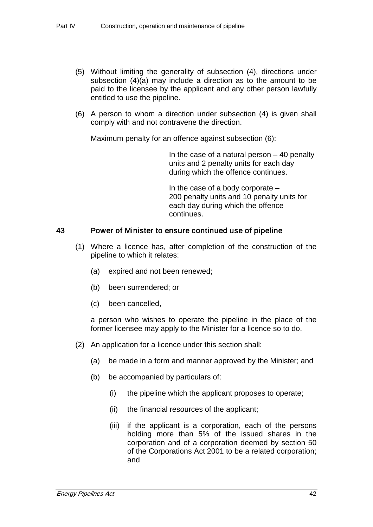- (5) Without limiting the generality of subsection (4), directions under subsection (4)(a) may include a direction as to the amount to be paid to the licensee by the applicant and any other person lawfully entitled to use the pipeline.
- (6) A person to whom a direction under subsection (4) is given shall comply with and not contravene the direction.

Maximum penalty for an offence against subsection (6):

In the case of a natural person  $-40$  penalty units and 2 penalty units for each day during which the offence continues.

In the case of a body corporate – 200 penalty units and 10 penalty units for each day during which the offence continues.

# 43 Power of Minister to ensure continued use of pipeline

- (1) Where a licence has, after completion of the construction of the pipeline to which it relates:
	- (a) expired and not been renewed;
	- (b) been surrendered; or
	- (c) been cancelled,

a person who wishes to operate the pipeline in the place of the former licensee may apply to the Minister for a licence so to do.

- (2) An application for a licence under this section shall:
	- (a) be made in a form and manner approved by the Minister; and
	- (b) be accompanied by particulars of:
		- (i) the pipeline which the applicant proposes to operate;
		- (ii) the financial resources of the applicant;
		- (iii) if the applicant is a corporation, each of the persons holding more than 5% of the issued shares in the corporation and of a corporation deemed by section 50 of the Corporations Act 2001 to be a related corporation; and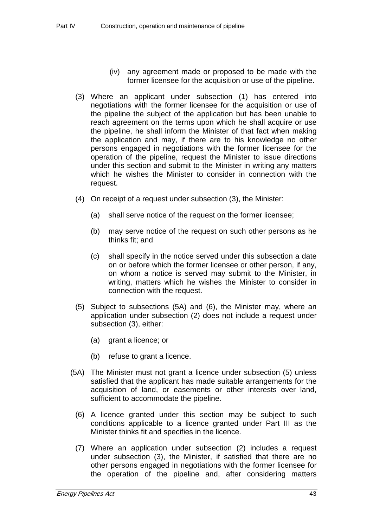- (iv) any agreement made or proposed to be made with the former licensee for the acquisition or use of the pipeline.
- (3) Where an applicant under subsection (1) has entered into negotiations with the former licensee for the acquisition or use of the pipeline the subject of the application but has been unable to reach agreement on the terms upon which he shall acquire or use the pipeline, he shall inform the Minister of that fact when making the application and may, if there are to his knowledge no other persons engaged in negotiations with the former licensee for the operation of the pipeline, request the Minister to issue directions under this section and submit to the Minister in writing any matters which he wishes the Minister to consider in connection with the request.
- (4) On receipt of a request under subsection (3), the Minister:
	- (a) shall serve notice of the request on the former licensee;
	- (b) may serve notice of the request on such other persons as he thinks fit; and
	- (c) shall specify in the notice served under this subsection a date on or before which the former licensee or other person, if any, on whom a notice is served may submit to the Minister, in writing, matters which he wishes the Minister to consider in connection with the request.
- (5) Subject to subsections (5A) and (6), the Minister may, where an application under subsection (2) does not include a request under subsection (3), either:
	- (a) grant a licence; or
	- (b) refuse to grant a licence.
- (5A) The Minister must not grant a licence under subsection (5) unless satisfied that the applicant has made suitable arrangements for the acquisition of land, or easements or other interests over land, sufficient to accommodate the pipeline.
	- (6) A licence granted under this section may be subject to such conditions applicable to a licence granted under Part III as the Minister thinks fit and specifies in the licence.
	- (7) Where an application under subsection (2) includes a request under subsection (3), the Minister, if satisfied that there are no other persons engaged in negotiations with the former licensee for the operation of the pipeline and, after considering matters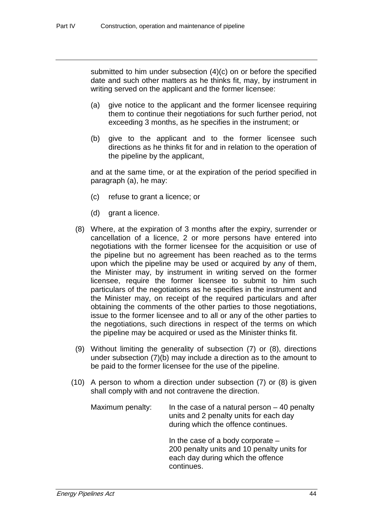submitted to him under subsection (4)(c) on or before the specified date and such other matters as he thinks fit, may, by instrument in writing served on the applicant and the former licensee:

- (a) give notice to the applicant and the former licensee requiring them to continue their negotiations for such further period, not exceeding 3 months, as he specifies in the instrument; or
- (b) give to the applicant and to the former licensee such directions as he thinks fit for and in relation to the operation of the pipeline by the applicant,

and at the same time, or at the expiration of the period specified in paragraph (a), he may:

- (c) refuse to grant a licence; or
- (d) grant a licence.
- (8) Where, at the expiration of 3 months after the expiry, surrender or cancellation of a licence, 2 or more persons have entered into negotiations with the former licensee for the acquisition or use of the pipeline but no agreement has been reached as to the terms upon which the pipeline may be used or acquired by any of them, the Minister may, by instrument in writing served on the former licensee, require the former licensee to submit to him such particulars of the negotiations as he specifies in the instrument and the Minister may, on receipt of the required particulars and after obtaining the comments of the other parties to those negotiations, issue to the former licensee and to all or any of the other parties to the negotiations, such directions in respect of the terms on which the pipeline may be acquired or used as the Minister thinks fit.
- (9) Without limiting the generality of subsection (7) or (8), directions under subsection (7)(b) may include a direction as to the amount to be paid to the former licensee for the use of the pipeline.
- (10) A person to whom a direction under subsection (7) or (8) is given shall comply with and not contravene the direction.

| Maximum penalty: | In the case of a natural person $-40$ penalty<br>units and 2 penalty units for each day<br>during which the offence continues.       |
|------------------|--------------------------------------------------------------------------------------------------------------------------------------|
|                  | In the case of a body corporate $-$<br>200 penalty units and 10 penalty units for<br>each day during which the offence<br>continues. |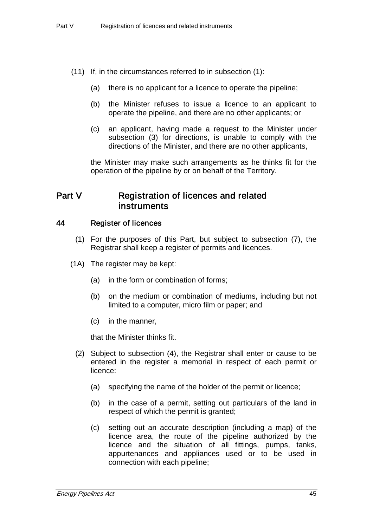- (11) If, in the circumstances referred to in subsection (1):
	- (a) there is no applicant for a licence to operate the pipeline;
	- (b) the Minister refuses to issue a licence to an applicant to operate the pipeline, and there are no other applicants; or
	- (c) an applicant, having made a request to the Minister under subsection (3) for directions, is unable to comply with the directions of the Minister, and there are no other applicants,

the Minister may make such arrangements as he thinks fit for the operation of the pipeline by or on behalf of the Territory.

# Part V Registration of licences and related instruments

# 44 Register of licences

- (1) For the purposes of this Part, but subject to subsection (7), the Registrar shall keep a register of permits and licences.
- (1A) The register may be kept:
	- (a) in the form or combination of forms;
	- (b) on the medium or combination of mediums, including but not limited to a computer, micro film or paper; and
	- (c) in the manner,

that the Minister thinks fit.

- (2) Subject to subsection (4), the Registrar shall enter or cause to be entered in the register a memorial in respect of each permit or licence:
	- (a) specifying the name of the holder of the permit or licence;
	- (b) in the case of a permit, setting out particulars of the land in respect of which the permit is granted;
	- (c) setting out an accurate description (including a map) of the licence area, the route of the pipeline authorized by the licence and the situation of all fittings, pumps, tanks, appurtenances and appliances used or to be used in connection with each pipeline;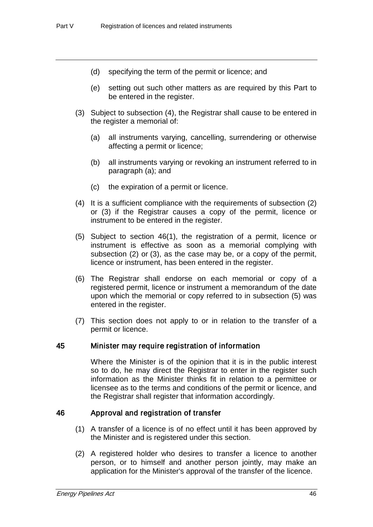- (d) specifying the term of the permit or licence; and
- (e) setting out such other matters as are required by this Part to be entered in the register.
- (3) Subject to subsection (4), the Registrar shall cause to be entered in the register a memorial of:
	- (a) all instruments varying, cancelling, surrendering or otherwise affecting a permit or licence;
	- (b) all instruments varying or revoking an instrument referred to in paragraph (a); and
	- (c) the expiration of a permit or licence.
- (4) It is a sufficient compliance with the requirements of subsection (2) or (3) if the Registrar causes a copy of the permit, licence or instrument to be entered in the register.
- (5) Subject to section 46(1), the registration of a permit, licence or instrument is effective as soon as a memorial complying with subsection (2) or (3), as the case may be, or a copy of the permit, licence or instrument, has been entered in the register.
- (6) The Registrar shall endorse on each memorial or copy of a registered permit, licence or instrument a memorandum of the date upon which the memorial or copy referred to in subsection (5) was entered in the register.
- (7) This section does not apply to or in relation to the transfer of a permit or licence.

# 45 Minister may require registration of information

Where the Minister is of the opinion that it is in the public interest so to do, he may direct the Registrar to enter in the register such information as the Minister thinks fit in relation to a permittee or licensee as to the terms and conditions of the permit or licence, and the Registrar shall register that information accordingly.

# 46 Approval and registration of transfer

- (1) A transfer of a licence is of no effect until it has been approved by the Minister and is registered under this section.
- (2) A registered holder who desires to transfer a licence to another person, or to himself and another person jointly, may make an application for the Minister's approval of the transfer of the licence.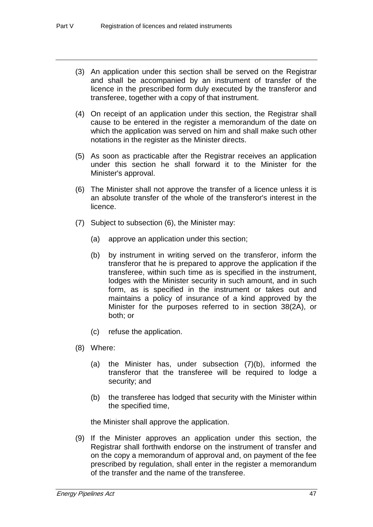- (3) An application under this section shall be served on the Registrar and shall be accompanied by an instrument of transfer of the licence in the prescribed form duly executed by the transferor and transferee, together with a copy of that instrument.
- (4) On receipt of an application under this section, the Registrar shall cause to be entered in the register a memorandum of the date on which the application was served on him and shall make such other notations in the register as the Minister directs.
- (5) As soon as practicable after the Registrar receives an application under this section he shall forward it to the Minister for the Minister's approval.
- (6) The Minister shall not approve the transfer of a licence unless it is an absolute transfer of the whole of the transferor's interest in the licence.
- (7) Subject to subsection (6), the Minister may:
	- (a) approve an application under this section;
	- (b) by instrument in writing served on the transferor, inform the transferor that he is prepared to approve the application if the transferee, within such time as is specified in the instrument, lodges with the Minister security in such amount, and in such form, as is specified in the instrument or takes out and maintains a policy of insurance of a kind approved by the Minister for the purposes referred to in section 38(2A), or both; or
	- (c) refuse the application.
- (8) Where:
	- (a) the Minister has, under subsection (7)(b), informed the transferor that the transferee will be required to lodge a security; and
	- (b) the transferee has lodged that security with the Minister within the specified time,

the Minister shall approve the application.

(9) If the Minister approves an application under this section, the Registrar shall forthwith endorse on the instrument of transfer and on the copy a memorandum of approval and, on payment of the fee prescribed by regulation, shall enter in the register a memorandum of the transfer and the name of the transferee.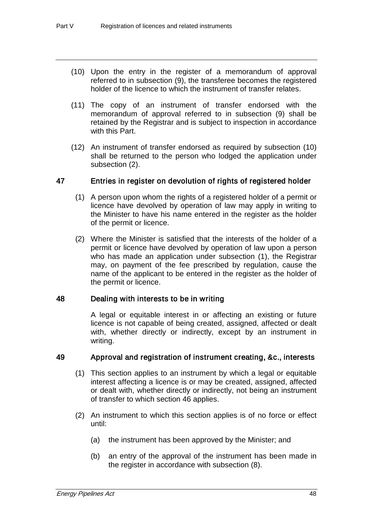- (10) Upon the entry in the register of a memorandum of approval referred to in subsection (9), the transferee becomes the registered holder of the licence to which the instrument of transfer relates.
- (11) The copy of an instrument of transfer endorsed with the memorandum of approval referred to in subsection (9) shall be retained by the Registrar and is subject to inspection in accordance with this Part.
- (12) An instrument of transfer endorsed as required by subsection (10) shall be returned to the person who lodged the application under subsection (2).

# 47 Entries in register on devolution of rights of registered holder

- (1) A person upon whom the rights of a registered holder of a permit or licence have devolved by operation of law may apply in writing to the Minister to have his name entered in the register as the holder of the permit or licence.
- (2) Where the Minister is satisfied that the interests of the holder of a permit or licence have devolved by operation of law upon a person who has made an application under subsection (1), the Registrar may, on payment of the fee prescribed by regulation, cause the name of the applicant to be entered in the register as the holder of the permit or licence.

# 48 Dealing with interests to be in writing

A legal or equitable interest in or affecting an existing or future licence is not capable of being created, assigned, affected or dealt with, whether directly or indirectly, except by an instrument in writing.

# 49 Approval and registration of instrument creating, &c., interests

- (1) This section applies to an instrument by which a legal or equitable interest affecting a licence is or may be created, assigned, affected or dealt with, whether directly or indirectly, not being an instrument of transfer to which section 46 applies.
- (2) An instrument to which this section applies is of no force or effect until:
	- (a) the instrument has been approved by the Minister; and
	- (b) an entry of the approval of the instrument has been made in the register in accordance with subsection (8).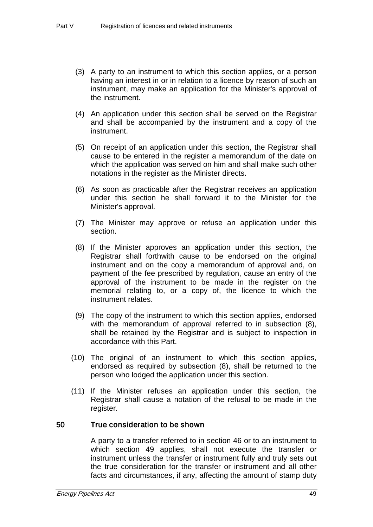- (3) A party to an instrument to which this section applies, or a person having an interest in or in relation to a licence by reason of such an instrument, may make an application for the Minister's approval of the instrument.
- (4) An application under this section shall be served on the Registrar and shall be accompanied by the instrument and a copy of the instrument.
- (5) On receipt of an application under this section, the Registrar shall cause to be entered in the register a memorandum of the date on which the application was served on him and shall make such other notations in the register as the Minister directs.
- (6) As soon as practicable after the Registrar receives an application under this section he shall forward it to the Minister for the Minister's approval.
- (7) The Minister may approve or refuse an application under this section.
- (8) If the Minister approves an application under this section, the Registrar shall forthwith cause to be endorsed on the original instrument and on the copy a memorandum of approval and, on payment of the fee prescribed by regulation, cause an entry of the approval of the instrument to be made in the register on the memorial relating to, or a copy of, the licence to which the instrument relates.
- (9) The copy of the instrument to which this section applies, endorsed with the memorandum of approval referred to in subsection (8), shall be retained by the Registrar and is subject to inspection in accordance with this Part.
- (10) The original of an instrument to which this section applies, endorsed as required by subsection (8), shall be returned to the person who lodged the application under this section.
- (11) If the Minister refuses an application under this section, the Registrar shall cause a notation of the refusal to be made in the register.

# 50 True consideration to be shown

A party to a transfer referred to in section 46 or to an instrument to which section 49 applies, shall not execute the transfer or instrument unless the transfer or instrument fully and truly sets out the true consideration for the transfer or instrument and all other facts and circumstances, if any, affecting the amount of stamp duty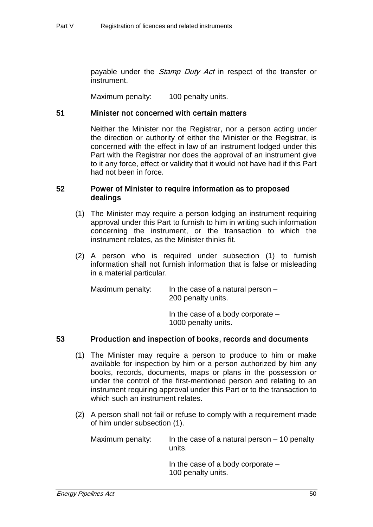payable under the *Stamp Duty Act* in respect of the transfer or instrument.

Maximum penalty: 100 penalty units.

# 51 Minister not concerned with certain matters

Neither the Minister nor the Registrar, nor a person acting under the direction or authority of either the Minister or the Registrar, is concerned with the effect in law of an instrument lodged under this Part with the Registrar nor does the approval of an instrument give to it any force, effect or validity that it would not have had if this Part had not been in force.

# 52 Power of Minister to require information as to proposed dealings

- (1) The Minister may require a person lodging an instrument requiring approval under this Part to furnish to him in writing such information concerning the instrument, or the transaction to which the instrument relates, as the Minister thinks fit.
- (2) A person who is required under subsection (1) to furnish information shall not furnish information that is false or misleading in a material particular.

| Maximum penalty: | In the case of a natural person $-$ |
|------------------|-------------------------------------|
|                  | 200 penalty units.                  |

In the case of a body corporate – 1000 penalty units.

# 53 Production and inspection of books, records and documents

- (1) The Minister may require a person to produce to him or make available for inspection by him or a person authorized by him any books, records, documents, maps or plans in the possession or under the control of the first-mentioned person and relating to an instrument requiring approval under this Part or to the transaction to which such an instrument relates.
- (2) A person shall not fail or refuse to comply with a requirement made of him under subsection (1).

Maximum penalty: In the case of a natural person – 10 penalty units.

> In the case of a body corporate – 100 penalty units.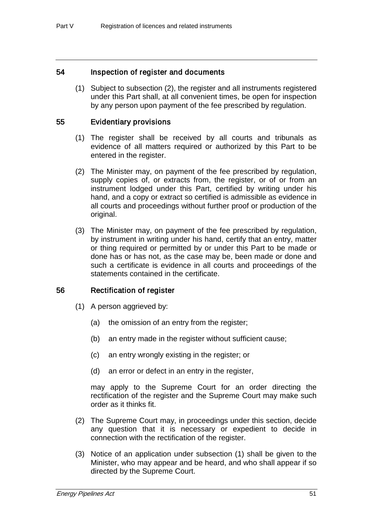# 54 Inspection of register and documents

(1) Subject to subsection (2), the register and all instruments registered under this Part shall, at all convenient times, be open for inspection by any person upon payment of the fee prescribed by regulation.

# 55 Evidentiary provisions

- (1) The register shall be received by all courts and tribunals as evidence of all matters required or authorized by this Part to be entered in the register.
- (2) The Minister may, on payment of the fee prescribed by regulation, supply copies of, or extracts from, the register, or of or from an instrument lodged under this Part, certified by writing under his hand, and a copy or extract so certified is admissible as evidence in all courts and proceedings without further proof or production of the original.
- (3) The Minister may, on payment of the fee prescribed by regulation, by instrument in writing under his hand, certify that an entry, matter or thing required or permitted by or under this Part to be made or done has or has not, as the case may be, been made or done and such a certificate is evidence in all courts and proceedings of the statements contained in the certificate.

# 56 Rectification of register

- (1) A person aggrieved by:
	- (a) the omission of an entry from the register;
	- (b) an entry made in the register without sufficient cause;
	- (c) an entry wrongly existing in the register; or
	- (d) an error or defect in an entry in the register,

may apply to the Supreme Court for an order directing the rectification of the register and the Supreme Court may make such order as it thinks fit.

- (2) The Supreme Court may, in proceedings under this section, decide any question that it is necessary or expedient to decide in connection with the rectification of the register.
- (3) Notice of an application under subsection (1) shall be given to the Minister, who may appear and be heard, and who shall appear if so directed by the Supreme Court.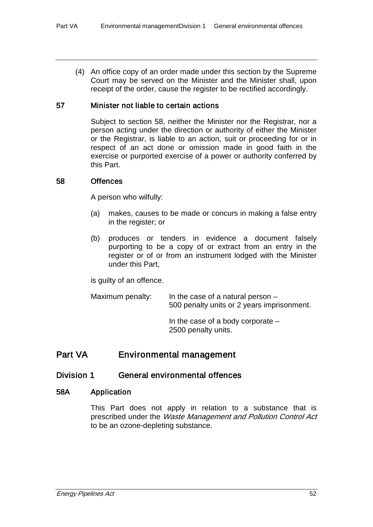(4) An office copy of an order made under this section by the Supreme Court may be served on the Minister and the Minister shall, upon receipt of the order, cause the register to be rectified accordingly.

# 57 Minister not liable to certain actions

Subject to section 58, neither the Minister nor the Registrar, nor a person acting under the direction or authority of either the Minister or the Registrar, is liable to an action, suit or proceeding for or in respect of an act done or omission made in good faith in the exercise or purported exercise of a power or authority conferred by this Part.

# 58 Offences

A person who wilfully:

- (a) makes, causes to be made or concurs in making a false entry in the register; or
- (b) produces or tenders in evidence a document falsely purporting to be a copy of or extract from an entry in the register or of or from an instrument lodged with the Minister under this Part,

is guilty of an offence.

Maximum penalty: In the case of a natural person – 500 penalty units or 2 years imprisonment. In the case of a body corporate – 2500 penalty units.

# Part VA Environmental management

# Division 1 General environmental offences

# 58A Application

This Part does not apply in relation to a substance that is prescribed under the Waste Management and Pollution Control Act to be an ozone-depleting substance.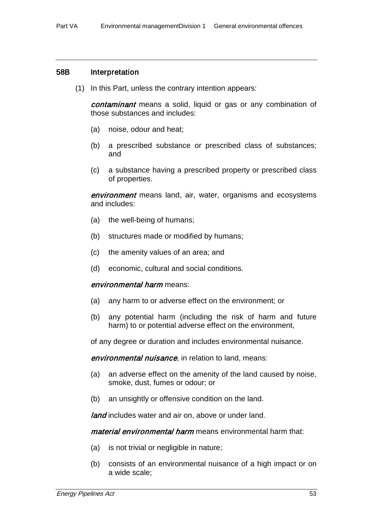### 58B Interpretation

(1) In this Part, unless the contrary intention appears:

contaminant means a solid, liquid or gas or any combination of those substances and includes:

- (a) noise, odour and heat;
- (b) a prescribed substance or prescribed class of substances; and
- (c) a substance having a prescribed property or prescribed class of properties.

**environment** means land, air, water, organisms and ecosystems and includes:

- (a) the well-being of humans;
- (b) structures made or modified by humans;
- (c) the amenity values of an area; and
- (d) economic, cultural and social conditions.

#### environmental harm means:

- (a) any harm to or adverse effect on the environment; or
- (b) any potential harm (including the risk of harm and future harm) to or potential adverse effect on the environment,

of any degree or duration and includes environmental nuisance.

**environmental nuisance**, in relation to land, means:

- (a) an adverse effect on the amenity of the land caused by noise, smoke, dust, fumes or odour; or
- (b) an unsightly or offensive condition on the land.

land includes water and air on, above or under land.

material environmental harm means environmental harm that:

- (a) is not trivial or negligible in nature;
- (b) consists of an environmental nuisance of a high impact or on a wide scale;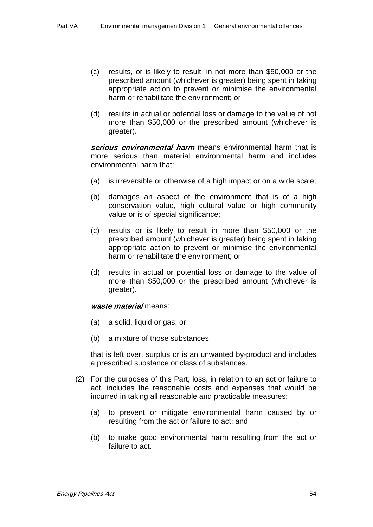- (c) results, or is likely to result, in not more than \$50,000 or the prescribed amount (whichever is greater) being spent in taking appropriate action to prevent or minimise the environmental harm or rehabilitate the environment; or
- (d) results in actual or potential loss or damage to the value of not more than \$50,000 or the prescribed amount (whichever is greater).

serious environmental harm means environmental harm that is more serious than material environmental harm and includes environmental harm that:

- (a) is irreversible or otherwise of a high impact or on a wide scale;
- (b) damages an aspect of the environment that is of a high conservation value, high cultural value or high community value or is of special significance;
- (c) results or is likely to result in more than \$50,000 or the prescribed amount (whichever is greater) being spent in taking appropriate action to prevent or minimise the environmental harm or rehabilitate the environment; or
- (d) results in actual or potential loss or damage to the value of more than \$50,000 or the prescribed amount (whichever is greater).

### waste material means:

- (a) a solid, liquid or gas; or
- (b) a mixture of those substances,

that is left over, surplus or is an unwanted by-product and includes a prescribed substance or class of substances.

- (2) For the purposes of this Part, loss, in relation to an act or failure to act, includes the reasonable costs and expenses that would be incurred in taking all reasonable and practicable measures:
	- (a) to prevent or mitigate environmental harm caused by or resulting from the act or failure to act; and
	- (b) to make good environmental harm resulting from the act or failure to act.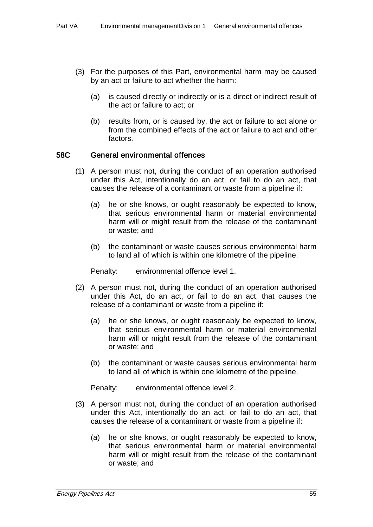- (3) For the purposes of this Part, environmental harm may be caused by an act or failure to act whether the harm:
	- (a) is caused directly or indirectly or is a direct or indirect result of the act or failure to act; or
	- (b) results from, or is caused by, the act or failure to act alone or from the combined effects of the act or failure to act and other factors.

### 58C General environmental offences

- (1) A person must not, during the conduct of an operation authorised under this Act, intentionally do an act, or fail to do an act, that causes the release of a contaminant or waste from a pipeline if:
	- (a) he or she knows, or ought reasonably be expected to know, that serious environmental harm or material environmental harm will or might result from the release of the contaminant or waste; and
	- (b) the contaminant or waste causes serious environmental harm to land all of which is within one kilometre of the pipeline.

Penalty: environmental offence level 1.

- (2) A person must not, during the conduct of an operation authorised under this Act, do an act, or fail to do an act, that causes the release of a contaminant or waste from a pipeline if:
	- (a) he or she knows, or ought reasonably be expected to know, that serious environmental harm or material environmental harm will or might result from the release of the contaminant or waste; and
	- (b) the contaminant or waste causes serious environmental harm to land all of which is within one kilometre of the pipeline.

Penalty: environmental offence level 2.

- (3) A person must not, during the conduct of an operation authorised under this Act, intentionally do an act, or fail to do an act, that causes the release of a contaminant or waste from a pipeline if:
	- (a) he or she knows, or ought reasonably be expected to know, that serious environmental harm or material environmental harm will or might result from the release of the contaminant or waste; and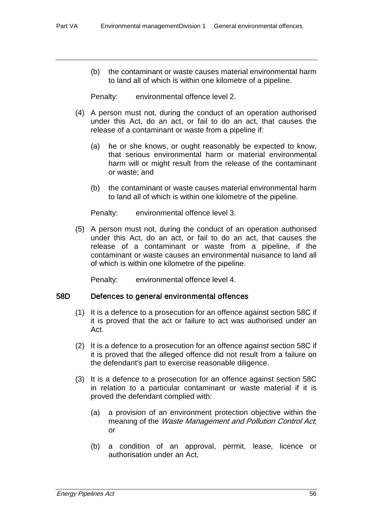(b) the contaminant or waste causes material environmental harm to land all of which is within one kilometre of a pipeline.

Penalty: environmental offence level 2.

- (4) A person must not, during the conduct of an operation authorised under this Act, do an act, or fail to do an act, that causes the release of a contaminant or waste from a pipeline if:
	- (a) he or she knows, or ought reasonably be expected to know, that serious environmental harm or material environmental harm will or might result from the release of the contaminant or waste; and
	- (b) the contaminant or waste causes material environmental harm to land all of which is within one kilometre of the pipeline.

Penalty: environmental offence level 3.

(5) A person must not, during the conduct of an operation authorised under this Act, do an act, or fail to do an act, that causes the release of a contaminant or waste from a pipeline, if the contaminant or waste causes an environmental nuisance to land all of which is within one kilometre of the pipeline.

Penalty: environmental offence level 4.

# 58D Defences to general environmental offences

- (1) It is a defence to a prosecution for an offence against section 58C if it is proved that the act or failure to act was authorised under an Act.
- (2) It is a defence to a prosecution for an offence against section 58C if it is proved that the alleged offence did not result from a failure on the defendant's part to exercise reasonable diligence.
- (3) It is a defence to a prosecution for an offence against section 58C in relation to a particular contaminant or waste material if it is proved the defendant complied with:
	- (a) a provision of an environment protection objective within the meaning of the *Waste Management and Pollution Control Act*; or
	- (b) a condition of an approval, permit, lease, licence or authorisation under an Act,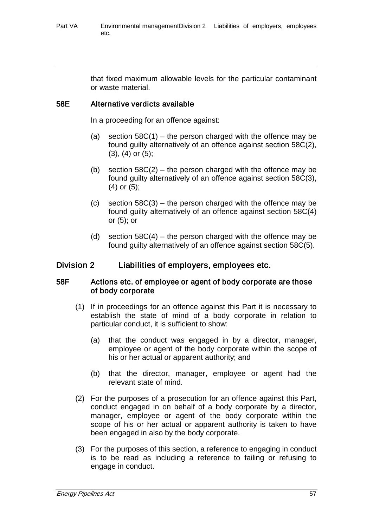that fixed maximum allowable levels for the particular contaminant or waste material.

# 58E Alternative verdicts available

In a proceeding for an offence against:

- (a) section  $58C(1)$  the person charged with the offence may be found guilty alternatively of an offence against section 58C(2), (3), (4) or (5);
- (b) section  $58C(2)$  the person charged with the offence may be found guilty alternatively of an offence against section 58C(3), (4) or (5);
- (c) section  $58C(3)$  the person charged with the offence may be found guilty alternatively of an offence against section 58C(4) or (5); or
- (d) section  $58C(4)$  the person charged with the offence may be found guilty alternatively of an offence against section 58C(5).

# Division 2 Liabilities of employers, employees etc.

# 58F Actions etc. of employee or agent of body corporate are those of body corporate

- (1) If in proceedings for an offence against this Part it is necessary to establish the state of mind of a body corporate in relation to particular conduct, it is sufficient to show:
	- (a) that the conduct was engaged in by a director, manager, employee or agent of the body corporate within the scope of his or her actual or apparent authority; and
	- (b) that the director, manager, employee or agent had the relevant state of mind.
- (2) For the purposes of a prosecution for an offence against this Part, conduct engaged in on behalf of a body corporate by a director, manager, employee or agent of the body corporate within the scope of his or her actual or apparent authority is taken to have been engaged in also by the body corporate.
- (3) For the purposes of this section, a reference to engaging in conduct is to be read as including a reference to failing or refusing to engage in conduct.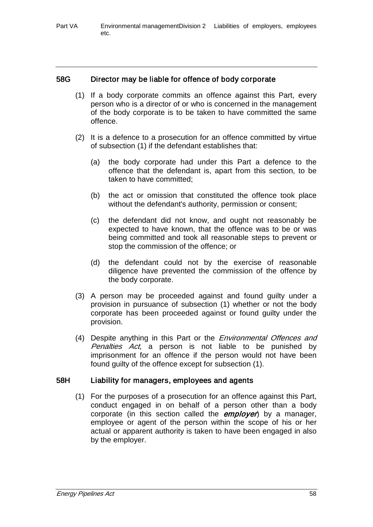# 58G Director may be liable for offence of body corporate

- (1) If a body corporate commits an offence against this Part, every person who is a director of or who is concerned in the management of the body corporate is to be taken to have committed the same offence.
- (2) It is a defence to a prosecution for an offence committed by virtue of subsection (1) if the defendant establishes that:
	- (a) the body corporate had under this Part a defence to the offence that the defendant is, apart from this section, to be taken to have committed;
	- (b) the act or omission that constituted the offence took place without the defendant's authority, permission or consent;
	- (c) the defendant did not know, and ought not reasonably be expected to have known, that the offence was to be or was being committed and took all reasonable steps to prevent or stop the commission of the offence; or
	- (d) the defendant could not by the exercise of reasonable diligence have prevented the commission of the offence by the body corporate.
- (3) A person may be proceeded against and found guilty under a provision in pursuance of subsection (1) whether or not the body corporate has been proceeded against or found guilty under the provision.
- (4) Despite anything in this Part or the *Environmental Offences and* Penalties Act, a person is not liable to be punished by imprisonment for an offence if the person would not have been found guilty of the offence except for subsection (1).

# 58H Liability for managers, employees and agents

(1) For the purposes of a prosecution for an offence against this Part, conduct engaged in on behalf of a person other than a body corporate (in this section called the **employer**) by a manager, employee or agent of the person within the scope of his or her actual or apparent authority is taken to have been engaged in also by the employer.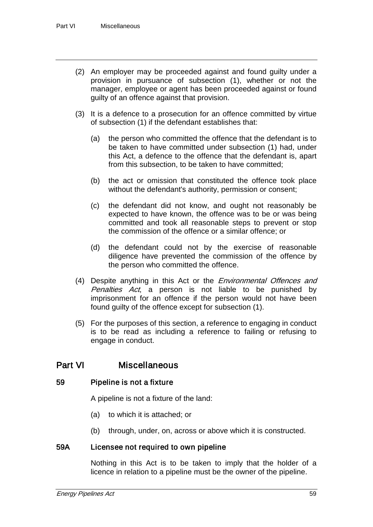- (2) An employer may be proceeded against and found guilty under a provision in pursuance of subsection (1), whether or not the manager, employee or agent has been proceeded against or found guilty of an offence against that provision.
- (3) It is a defence to a prosecution for an offence committed by virtue of subsection (1) if the defendant establishes that:
	- (a) the person who committed the offence that the defendant is to be taken to have committed under subsection (1) had, under this Act, a defence to the offence that the defendant is, apart from this subsection, to be taken to have committed;
	- (b) the act or omission that constituted the offence took place without the defendant's authority, permission or consent;
	- (c) the defendant did not know, and ought not reasonably be expected to have known, the offence was to be or was being committed and took all reasonable steps to prevent or stop the commission of the offence or a similar offence; or
	- (d) the defendant could not by the exercise of reasonable diligence have prevented the commission of the offence by the person who committed the offence.
- (4) Despite anything in this Act or the *Environmental Offences and* Penalties Act, a person is not liable to be punished by imprisonment for an offence if the person would not have been found guilty of the offence except for subsection (1).
- (5) For the purposes of this section, a reference to engaging in conduct is to be read as including a reference to failing or refusing to engage in conduct.

# Part VI Miscellaneous

# 59 Pipeline is not a fixture

A pipeline is not a fixture of the land:

- (a) to which it is attached; or
- (b) through, under, on, across or above which it is constructed.

# 59A Licensee not required to own pipeline

Nothing in this Act is to be taken to imply that the holder of a licence in relation to a pipeline must be the owner of the pipeline.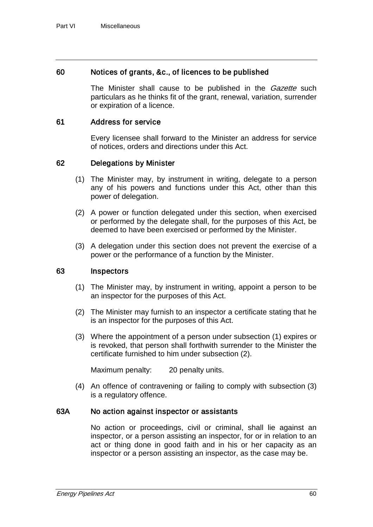# 60 Notices of grants, &c., of licences to be published

The Minister shall cause to be published in the *Gazette* such particulars as he thinks fit of the grant, renewal, variation, surrender or expiration of a licence.

# 61 Address for service

Every licensee shall forward to the Minister an address for service of notices, orders and directions under this Act.

# 62 Delegations by Minister

- (1) The Minister may, by instrument in writing, delegate to a person any of his powers and functions under this Act, other than this power of delegation.
- (2) A power or function delegated under this section, when exercised or performed by the delegate shall, for the purposes of this Act, be deemed to have been exercised or performed by the Minister.
- (3) A delegation under this section does not prevent the exercise of a power or the performance of a function by the Minister.

# 63 Inspectors

- (1) The Minister may, by instrument in writing, appoint a person to be an inspector for the purposes of this Act.
- (2) The Minister may furnish to an inspector a certificate stating that he is an inspector for the purposes of this Act.
- (3) Where the appointment of a person under subsection (1) expires or is revoked, that person shall forthwith surrender to the Minister the certificate furnished to him under subsection (2).

Maximum penalty: 20 penalty units.

(4) An offence of contravening or failing to comply with subsection (3) is a regulatory offence.

# 63A No action against inspector or assistants

No action or proceedings, civil or criminal, shall lie against an inspector, or a person assisting an inspector, for or in relation to an act or thing done in good faith and in his or her capacity as an inspector or a person assisting an inspector, as the case may be.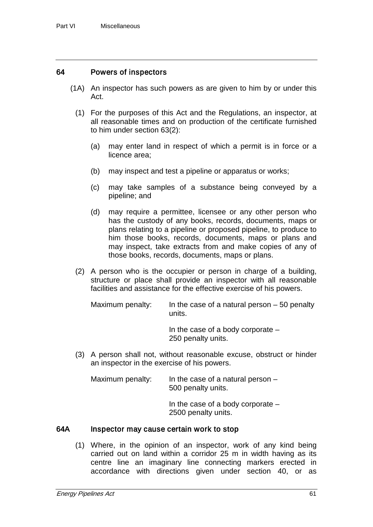# 64 Powers of inspectors

- (1A) An inspector has such powers as are given to him by or under this Act.
	- (1) For the purposes of this Act and the Regulations, an inspector, at all reasonable times and on production of the certificate furnished to him under section 63(2):
		- (a) may enter land in respect of which a permit is in force or a licence area;
		- (b) may inspect and test a pipeline or apparatus or works;
		- (c) may take samples of a substance being conveyed by a pipeline; and
		- (d) may require a permittee, licensee or any other person who has the custody of any books, records, documents, maps or plans relating to a pipeline or proposed pipeline, to produce to him those books, records, documents, maps or plans and may inspect, take extracts from and make copies of any of those books, records, documents, maps or plans.
	- (2) A person who is the occupier or person in charge of a building, structure or place shall provide an inspector with all reasonable facilities and assistance for the effective exercise of his powers.

Maximum penalty: In the case of a natural person  $-50$  penalty units.

> In the case of a body corporate – 250 penalty units.

(3) A person shall not, without reasonable excuse, obstruct or hinder an inspector in the exercise of his powers.

Maximum penalty: In the case of a natural person – 500 penalty units.

> In the case of a body corporate – 2500 penalty units.

#### 64A Inspector may cause certain work to stop

(1) Where, in the opinion of an inspector, work of any kind being carried out on land within a corridor 25 m in width having as its centre line an imaginary line connecting markers erected in accordance with directions given under section 40, or as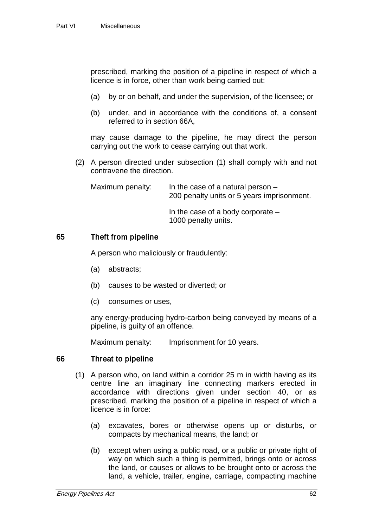prescribed, marking the position of a pipeline in respect of which a licence is in force, other than work being carried out:

- (a) by or on behalf, and under the supervision, of the licensee; or
- (b) under, and in accordance with the conditions of, a consent referred to in section 66A,

may cause damage to the pipeline, he may direct the person carrying out the work to cease carrying out that work.

(2) A person directed under subsection (1) shall comply with and not contravene the direction.

| Maximum penalty: | In the case of a natural person $-$<br>200 penalty units or 5 years imprisonment. |
|------------------|-----------------------------------------------------------------------------------|
|                  | In the case of a body corporate $-$<br>1000 penalty units.                        |

# 65 Theft from pipeline

A person who maliciously or fraudulently:

- (a) abstracts;
- (b) causes to be wasted or diverted; or
- (c) consumes or uses,

any energy-producing hydro-carbon being conveyed by means of a pipeline, is guilty of an offence.

Maximum penalty: Imprisonment for 10 years.

# 66 Threat to pipeline

- (1) A person who, on land within a corridor 25 m in width having as its centre line an imaginary line connecting markers erected in accordance with directions given under section 40, or as prescribed, marking the position of a pipeline in respect of which a licence is in force:
	- (a) excavates, bores or otherwise opens up or disturbs, or compacts by mechanical means, the land; or
	- (b) except when using a public road, or a public or private right of way on which such a thing is permitted, brings onto or across the land, or causes or allows to be brought onto or across the land, a vehicle, trailer, engine, carriage, compacting machine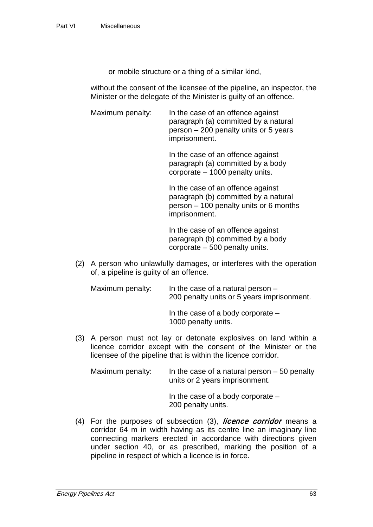or mobile structure or a thing of a similar kind,

without the consent of the licensee of the pipeline, an inspector, the Minister or the delegate of the Minister is guilty of an offence.

Maximum penalty: In the case of an offence against paragraph (a) committed by a natural person – 200 penalty units or 5 years imprisonment.

> In the case of an offence against paragraph (a) committed by a body corporate – 1000 penalty units.

In the case of an offence against paragraph (b) committed by a natural person – 100 penalty units or 6 months imprisonment.

In the case of an offence against paragraph (b) committed by a body corporate – 500 penalty units.

(2) A person who unlawfully damages, or interferes with the operation of, a pipeline is guilty of an offence.

Maximum penalty: In the case of a natural person – 200 penalty units or 5 years imprisonment.

In the case of a body corporate – 1000 penalty units.

(3) A person must not lay or detonate explosives on land within a licence corridor except with the consent of the Minister or the licensee of the pipeline that is within the licence corridor.

Maximum penalty: In the case of a natural person  $-50$  penalty units or 2 years imprisonment.

> In the case of a body corporate – 200 penalty units.

 $(4)$  For the purposes of subsection  $(3)$ , *licence corridor* means a corridor 64 m in width having as its centre line an imaginary line connecting markers erected in accordance with directions given under section 40, or as prescribed, marking the position of a pipeline in respect of which a licence is in force.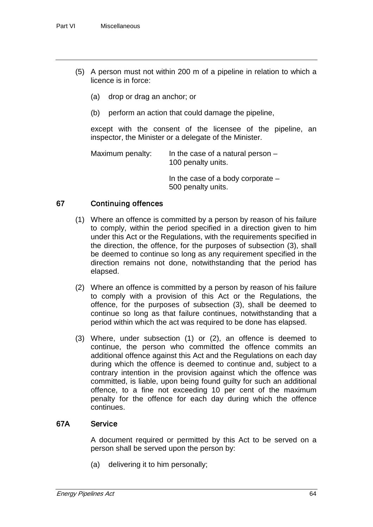- (5) A person must not within 200 m of a pipeline in relation to which a licence is in force:
	- (a) drop or drag an anchor; or
	- (b) perform an action that could damage the pipeline,

except with the consent of the licensee of the pipeline, an inspector, the Minister or a delegate of the Minister.

Maximum penalty: In the case of a natural person  $-$ 100 penalty units.

> In the case of a body corporate – 500 penalty units.

# 67 Continuing offences

- (1) Where an offence is committed by a person by reason of his failure to comply, within the period specified in a direction given to him under this Act or the Regulations, with the requirements specified in the direction, the offence, for the purposes of subsection (3), shall be deemed to continue so long as any requirement specified in the direction remains not done, notwithstanding that the period has elapsed.
- (2) Where an offence is committed by a person by reason of his failure to comply with a provision of this Act or the Regulations, the offence, for the purposes of subsection (3), shall be deemed to continue so long as that failure continues, notwithstanding that a period within which the act was required to be done has elapsed.
- (3) Where, under subsection (1) or (2), an offence is deemed to continue, the person who committed the offence commits an additional offence against this Act and the Regulations on each day during which the offence is deemed to continue and, subject to a contrary intention in the provision against which the offence was committed, is liable, upon being found guilty for such an additional offence, to a fine not exceeding 10 per cent of the maximum penalty for the offence for each day during which the offence continues.

# 67A Service

A document required or permitted by this Act to be served on a person shall be served upon the person by:

(a) delivering it to him personally;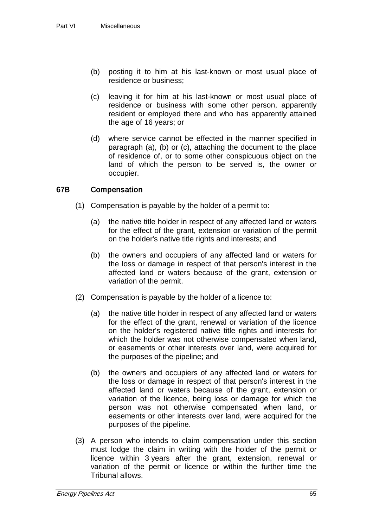- (b) posting it to him at his last-known or most usual place of residence or business;
- (c) leaving it for him at his last-known or most usual place of residence or business with some other person, apparently resident or employed there and who has apparently attained the age of 16 years; or
- (d) where service cannot be effected in the manner specified in paragraph (a), (b) or (c), attaching the document to the place of residence of, or to some other conspicuous object on the land of which the person to be served is, the owner or occupier.

# 67B Compensation

- (1) Compensation is payable by the holder of a permit to:
	- (a) the native title holder in respect of any affected land or waters for the effect of the grant, extension or variation of the permit on the holder's native title rights and interests; and
	- (b) the owners and occupiers of any affected land or waters for the loss or damage in respect of that person's interest in the affected land or waters because of the grant, extension or variation of the permit.
- (2) Compensation is payable by the holder of a licence to:
	- (a) the native title holder in respect of any affected land or waters for the effect of the grant, renewal or variation of the licence on the holder's registered native title rights and interests for which the holder was not otherwise compensated when land, or easements or other interests over land, were acquired for the purposes of the pipeline; and
	- (b) the owners and occupiers of any affected land or waters for the loss or damage in respect of that person's interest in the affected land or waters because of the grant, extension or variation of the licence, being loss or damage for which the person was not otherwise compensated when land, or easements or other interests over land, were acquired for the purposes of the pipeline.
- (3) A person who intends to claim compensation under this section must lodge the claim in writing with the holder of the permit or licence within 3 years after the grant, extension, renewal or variation of the permit or licence or within the further time the Tribunal allows.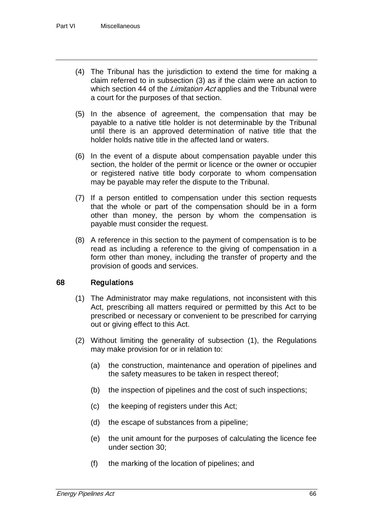- (4) The Tribunal has the jurisdiction to extend the time for making a claim referred to in subsection (3) as if the claim were an action to which section 44 of the *Limitation Act* applies and the Tribunal were a court for the purposes of that section.
- (5) In the absence of agreement, the compensation that may be payable to a native title holder is not determinable by the Tribunal until there is an approved determination of native title that the holder holds native title in the affected land or waters.
- (6) In the event of a dispute about compensation payable under this section, the holder of the permit or licence or the owner or occupier or registered native title body corporate to whom compensation may be payable may refer the dispute to the Tribunal.
- (7) If a person entitled to compensation under this section requests that the whole or part of the compensation should be in a form other than money, the person by whom the compensation is payable must consider the request.
- (8) A reference in this section to the payment of compensation is to be read as including a reference to the giving of compensation in a form other than money, including the transfer of property and the provision of goods and services.

# 68 Regulations

- (1) The Administrator may make regulations, not inconsistent with this Act, prescribing all matters required or permitted by this Act to be prescribed or necessary or convenient to be prescribed for carrying out or giving effect to this Act.
- (2) Without limiting the generality of subsection (1), the Regulations may make provision for or in relation to:
	- (a) the construction, maintenance and operation of pipelines and the safety measures to be taken in respect thereof;
	- (b) the inspection of pipelines and the cost of such inspections;
	- (c) the keeping of registers under this Act;
	- (d) the escape of substances from a pipeline;
	- (e) the unit amount for the purposes of calculating the licence fee under section 30;
	- (f) the marking of the location of pipelines; and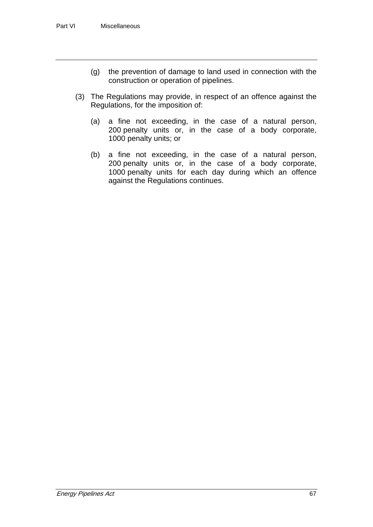- (g) the prevention of damage to land used in connection with the construction or operation of pipelines.
- (3) The Regulations may provide, in respect of an offence against the Regulations, for the imposition of:
	- (a) a fine not exceeding, in the case of a natural person, 200 penalty units or, in the case of a body corporate, 1000 penalty units; or
	- (b) a fine not exceeding, in the case of a natural person, 200 penalty units or, in the case of a body corporate, 1000 penalty units for each day during which an offence against the Regulations continues.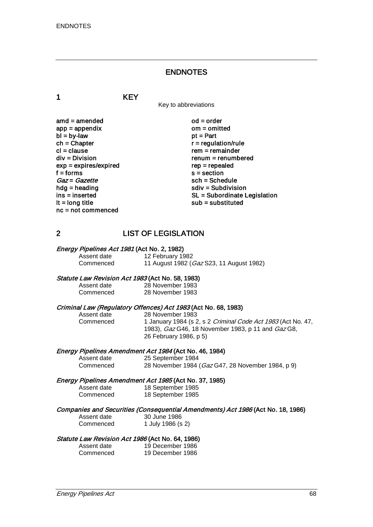# ENDNOTES

1 KEY

Key to abbreviations

 $\mathsf{and} = \mathsf{amended}$   $\mathsf{ood} = \mathsf{order}$ <br> $\mathsf{app} = \mathsf{appendix}$   $\mathsf{om} = \mathsf{omitted}$  $app = appendix$  om = om<br>  $bl = bv$ -law of = Part  $bl = by-law$ <br>ch = Chapter  $ch = Chapter$ <br>  $cl = clause$  regulation/rule<br>  $cl = clause$ cl = clause rem = remainder<br>div = Division rem = remum = renumb  $exp = exp$ ires/expired<br>f = forms f = forms s = section  $Gaz = Gazette$ <br>  $hdg = heading$ <br>  $sdiv = Subdivis$ hdg = heading solution<br>ins = inserted solution<br>SL = Subordinate L nc = not commenced

 $renum = renumbered$ <br> $rep = repeated$ ins = inserted SL = Subordinate Legislation<br>
It = long title<br>
Sub = substituted  $sub =$  substituted

# 2 LIST OF LEGISLATION

|  | <i>Energy Pipelines Act 1981</i> (Act No. 2, 1982) |
|--|----------------------------------------------------|
|--|----------------------------------------------------|

Assent date 12 February 1982<br>Commenced 11 August 1982 ( 11 August 1982 (Gaz S23, 11 August 1982)

Statute Law Revision Act 1983 (Act No. 58, 1983)<br>Assent date 28 November 1983 Assent date 28 November 1983

28 November 1983

# Criminal Law (Regulatory Offences) Act 1983 (Act No. 68, 1983)<br>Assent date 28 November 1983

Assent date 28 November 1983

1 January 1984 (s 2, s 2 *Criminal Code Act 1983* (Act No. 47, 1983), Gaz G46, 18 November 1983, p 11 and Gaz G8, 26 February 1986, p 5)

#### Energy Pipelines Amendment Act 1984 (Act No. 46, 1984)

Assent date 25 September 1984

28 November 1984 (Gaz G47, 28 November 1984, p 9)

#### Energy Pipelines Amendment Act 1985 (Act No. 37, 1985)

| Assent date | 18 September 1985 |
|-------------|-------------------|
| Commenced   | 18 September 1985 |

- Companies and Securities (Consequential Amendments) Act 1986 (Act No. 18, 1986)
	- Assent date 30 June 1986<br>Commenced 1 July 1986 (s) 1 July 1986 (s 2)

#### Statute Law Revision Act 1986 (Act No. 64, 1986)

| Assent date | 19 December 1986 |
|-------------|------------------|
| Commenced   | 19 December 1986 |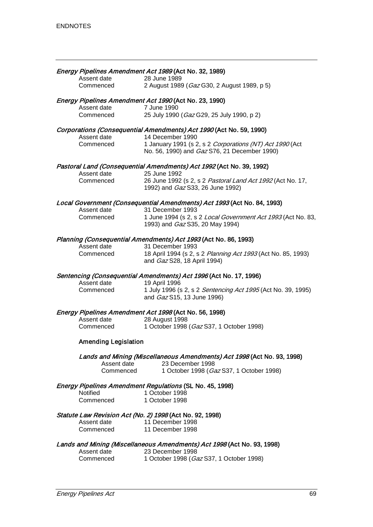| Assent date<br>Commenced    | Energy Pipelines Amendment Act 1989 (Act No. 32, 1989)<br>28 June 1989<br>2 August 1989 (Gaz G30, 2 August 1989, p 5)                                                                               |
|-----------------------------|-----------------------------------------------------------------------------------------------------------------------------------------------------------------------------------------------------|
| Assent date<br>Commenced    | Energy Pipelines Amendment Act 1990 (Act No. 23, 1990)<br>7 June 1990<br>25 July 1990 (Gaz G29, 25 July 1990, p 2)                                                                                  |
| Assent date<br>Commenced    | Corporations (Consequential Amendments) Act 1990 (Act No. 59, 1990)<br>14 December 1990<br>1 January 1991 (s 2, s 2 Corporations (NT) Act 1990 (Act<br>No. 56, 1990) and Gaz S76, 21 December 1990) |
| Assent date<br>Commenced    | Pastoral Land (Consequential Amendments) Act 1992 (Act No. 39, 1992)<br>25 June 1992<br>26 June 1992 (s 2, s 2 Pastoral Land Act 1992 (Act No. 17,<br>1992) and Gaz S33, 26 June 1992)              |
| Assent date<br>Commenced    | Local Government (Consequential Amendments) Act 1993 (Act No. 84, 1993)<br>31 December 1993<br>1 June 1994 (s 2, s 2 Local Government Act 1993 (Act No. 83,<br>1993) and Gaz S35, 20 May 1994)      |
| Assent date<br>Commenced    | Planning (Consequential Amendments) Act 1993 (Act No. 86, 1993)<br>31 December 1993<br>18 April 1994 (s 2, s 2 Planning Act 1993 (Act No. 85, 1993)<br>and Gaz S28, 18 April 1994)                  |
| Assent date<br>Commenced    | Sentencing (Consequential Amendments) Act 1996 (Act No. 17, 1996)<br>19 April 1996<br>1 July 1996 (s 2, s 2 Sentencing Act 1995 (Act No. 39, 1995)<br>and Gaz S15, 13 June 1996)                    |
| Assent date<br>Commenced    | Energy Pipelines Amendment Act 1998 (Act No. 56, 1998)<br>28 August 1998<br>1 October 1998 (Gaz S37, 1 October 1998)                                                                                |
| <b>Amending Legislation</b> |                                                                                                                                                                                                     |
| Assent date<br>Commenced    | Lands and Mining (Miscellaneous Amendments) Act 1998 (Act No. 93, 1998)<br>23 December 1998<br>1 October 1998 (Gaz S37, 1 October 1998)                                                             |
| Notified<br>Commenced       | <b>Energy Pipelines Amendment Regulations (SL No. 45, 1998)</b><br>1 October 1998<br>1 October 1998                                                                                                 |
| Assent date<br>Commenced    | Statute Law Revision Act (No. 2) 1998 (Act No. 92, 1998)<br>11 December 1998<br>11 December 1998                                                                                                    |
| Assent date<br>Commenced    | Lands and Mining (Miscellaneous Amendments) Act 1998 (Act No. 93, 1998)<br>23 December 1998<br>1 October 1998 (Gaz S37, 1 October 1998)                                                             |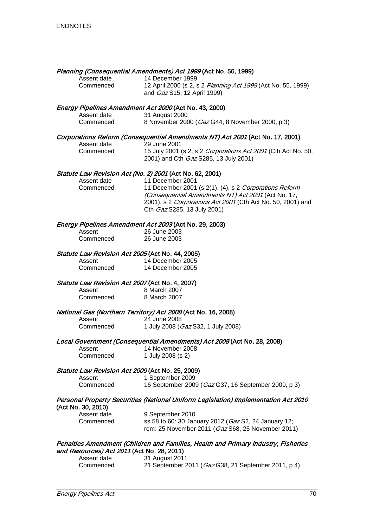# Planning (Consequential Amendments) Act 1999 (Act No. 56, 1999)

| Assent date | 14 December 1999                                             |
|-------------|--------------------------------------------------------------|
| Commenced   | 12 April 2000 (s 2, s 2 Planning Act 1999 (Act No. 55, 1999) |
|             | and <i>Gaz</i> S15, 12 April 1999)                           |

# Energy Pipelines Amendment Act 2000 (Act No. 43, 2000)

| .<br>Assent date | 31 August 2000                                  |
|------------------|-------------------------------------------------|
| Commenced        | 8 November 2000 (Gaz G44, 8 November 2000, p 3) |

## Corporations Reform (Consequential Amendments NT) Act 2001 (Act No. 17, 2001)

| Assent date | 29 June 2001                                                         |
|-------------|----------------------------------------------------------------------|
| Commenced   | 15 July 2001 (s 2, s 2 <i>Corporations Act 2001</i> (Cth Act No. 50, |
|             | 2001) and Cth <i>Gaz</i> S285, 13 July 2001)                         |

# Statute Law Revision Act (No. 2) 2001 (Act No. 62, 2001)<br>Assent date 11 December 2001

Assent date 11 December 2001<br>Commenced 11 December 2001 11 December 2001 (s 2(1), (4), s 2 Corporations Reform (Consequential Amendments NT) Act 2001 (Act No. 17, 2001), s 2 Corporations Act 2001 (Cth Act No. 50, 2001) and Cth Gaz S285, 13 July 2001)

## Energy Pipelines Amendment Act 2003 (Act No. 29, 2003)

| Assent    | 26 June 2003 |
|-----------|--------------|
| Commenced | 26 June 2003 |

## Statute Law Revision Act 2005 (Act No. 44, 2005)

| Assent    | 14 December 2005 |
|-----------|------------------|
| Commenced | 14 December 2005 |

# Statute Law Revision Act 2007 (Act No. 4, 2007)<br>Assent 8 March 2007

| Assent    | 8 March 2007 |
|-----------|--------------|
| Commenced | 8 March 2007 |

## National Gas (Northern Territory) Act 2008 (Act No. 16, 2008)

| Assent    | 24 June 2008                       |
|-----------|------------------------------------|
| Commenced | 1 July 2008 (Gaz S32, 1 July 2008) |

#### Local Government (Consequential Amendments) Act 2008 (Act No. 28, 2008)

| Assent        | 14 November 2008       |
|---------------|------------------------|
| <b>A</b> .  1 | $1 \cup$ 0000 $(0, 0)$ |

| Commenced | 1 July 2008 (s 2) |
|-----------|-------------------|
|           |                   |

# Statute Law Revision Act 2009 (Act No. 25, 2009)

| Assent    | 1 September 2009                                    |
|-----------|-----------------------------------------------------|
| Commenced | 16 September 2009 (Gaz G37, 16 September 2009, p 3) |

#### Personal Property Securities (National Uniform Legislation) Implementation Act 2010 (Act No. 30, 2010)

| Assent date | 9 September 2010                                             |
|-------------|--------------------------------------------------------------|
| Commenced   | ss 58 to 60: 30 January 2012 ( <i>Gaz</i> S2, 24 January 12; |
|             | rem: 25 November 2011 (Gaz S68, 25 November 2011)            |

# Penalties Amendment (Children and Families, Health and Primary Industry, Fisheries and Resources) Act 2011 (Act No. 28, 2011)

| Assent date | 31 August 2011                                      |
|-------------|-----------------------------------------------------|
| Commenced   | 21 September 2011 (Gaz G38, 21 September 2011, p 4) |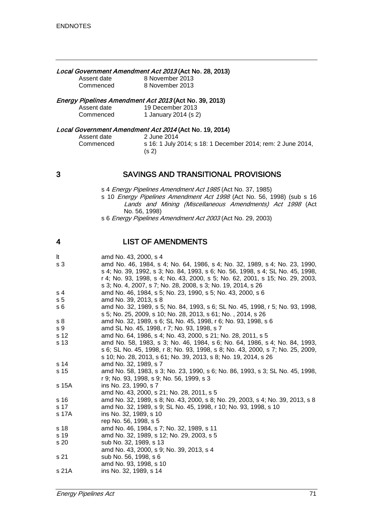#### Local Government Amendment Act 2013 (Act No. 28, 2013)

| Assent date | 8 November 2013 |
|-------------|-----------------|
| Commenced   | 8 November 2013 |

## Energy Pipelines Amendment Act 2013 (Act No. 39, 2013)

| Assent date | 19 December 2013     |
|-------------|----------------------|
| Commenced   | 1 January 2014 (s 2) |

# Local Government Amendment Act 2014 (Act No. 19, 2014)

| Assent date |  |
|-------------|--|
| Commenced   |  |

2 June 2014 s 16: 1 July 2014; s 18: 1 December 2014; rem: 2 June 2014, (s 2)

# 3 SAVINGS AND TRANSITIONAL PROVISIONS

- s 4 Energy Pipelines Amendment Act 1985 (Act No. 37, 1985)
- s 10 Energy Pipelines Amendment Act 1998 (Act No. 56, 1998) (sub s 16 Lands and Mining (Miscellaneous Amendments) Act 1998 (Act No. 56, 1998)
- s 6 Energy Pipelines Amendment Act 2003 (Act No. 29, 2003)

# 4 LIST OF AMENDMENTS

| lt.            | amd No. 43, 2000, s 4                                                          |  |
|----------------|--------------------------------------------------------------------------------|--|
| s <sub>3</sub> | amd No. 46, 1984, s 4; No. 64, 1986, s 4; No. 32, 1989, s 4; No. 23, 1990,     |  |
|                | s 4; No. 39, 1992, s 3; No. 84, 1993, s 6; No. 56, 1998, s 4; SL No. 45, 1998, |  |
|                | r 4; No. 93, 1998, s 4; No. 43, 2000, s 5; No. 62, 2001, s 15; No. 29, 2003,   |  |
|                | s 3; No. 4, 2007, s 7; No. 28, 2008, s 3; No. 19, 2014, s 26                   |  |
| s 4            | amd No. 46, 1984, s 5; No. 23, 1990, s 5; No. 43, 2000, s 6                    |  |
| s <sub>5</sub> | amd No. 39, 2013, s 8                                                          |  |
| s 6            | amd No. 32, 1989, s 5; No. 84, 1993, s 6; SL No. 45, 1998, r 5; No. 93, 1998,  |  |
|                | s 5; No. 25, 2009, s 10; No. 28, 2013, s 61; No., 2014, s 26                   |  |
| s <sub>8</sub> | amd No. 32, 1989, s 6; SL No. 45, 1998, r 6; No. 93, 1998, s 6                 |  |
| s 9            | amd SL No. 45, 1998, r 7; No. 93, 1998, s 7                                    |  |
| s 12           | amd No. 64, 1986, s 4; No. 43, 2000, s 21; No. 28, 2011, s 5                   |  |
| s 13           | amd No. 58, 1983, s 3; No. 46, 1984, s 6; No. 64, 1986, s 4; No. 84, 1993,     |  |
|                | s 6; SL No. 45, 1998, r 8; No. 93, 1998, s 8; No. 43, 2000, s 7; No. 25, 2009, |  |
|                | s 10; No. 28, 2013, s 61; No. 39, 2013, s 8; No. 19, 2014, s 26                |  |
| s 14           | amd No. 32, 1989, s 7                                                          |  |
| s 15           | amd No. 58, 1983, s 3; No. 23, 1990, s 6; No. 86, 1993, s 3; SL No. 45, 1998,  |  |
|                | r 9; No. 93, 1998, s 9; No. 56, 1999, s 3                                      |  |
| s 15A          | ins No. 23, 1990, s 7                                                          |  |
|                | amd No. 43, 2000, s 21; No. 28, 2011, s 5                                      |  |
| s 16           | amd No. 32, 1989, s 8; No. 43, 2000, s 8; No. 29, 2003, s 4; No. 39, 2013, s 8 |  |
| s 17           | amd No. 32, 1989, s 9; SL No. 45, 1998, r 10; No. 93, 1998, s 10               |  |
| s 17A          | ins No. 32, 1989, s 10                                                         |  |
|                | rep No. 56, 1998, s 5                                                          |  |
| s 18           | amd No. 46, 1984, s 7; No. 32, 1989, s 11                                      |  |
| s 19           | amd No. 32, 1989, s 12; No. 29, 2003, s 5                                      |  |
| s 20           | sub No. 32, 1989, s 13                                                         |  |
|                | amd No. 43, 2000, s 9; No. 39, 2013, s 4                                       |  |
| s 21           | sub No. 56, 1998, s 6                                                          |  |
|                | amd No. 93, 1998, s 10                                                         |  |
| s 21A          | ins No. 32, 1989, s 14                                                         |  |
|                |                                                                                |  |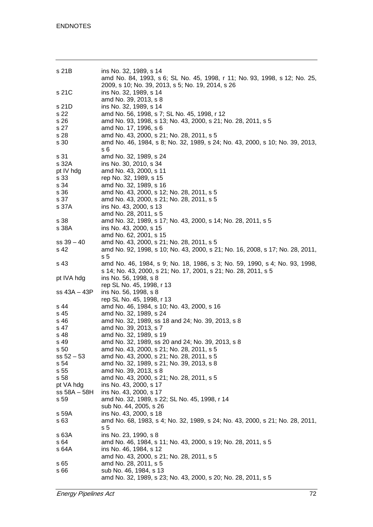| s 21B                                                               | ins No. 32, 1989, s 14<br>amd No. 84, 1993, s 6; SL No. 45, 1998, r 11; No. 93, 1998, s 12; No. 25,<br>2009, s 10; No. 39, 2013, s 5; No. 19, 2014, s 26                                                                                                                                             |
|---------------------------------------------------------------------|------------------------------------------------------------------------------------------------------------------------------------------------------------------------------------------------------------------------------------------------------------------------------------------------------|
| s 21C                                                               | ins No. 32, 1989, s 14<br>amd No. 39, 2013, s 8                                                                                                                                                                                                                                                      |
| s 21D<br>s 22<br>s 26<br>s 27<br>s 28<br>s 30                       | ins No. 32, 1989, s 14<br>amd No. 56, 1998, s 7; SL No. 45, 1998, r 12<br>amd No. 93, 1998, s 13; No. 43, 2000, s 21; No. 28, 2011, s 5<br>amd No. 17, 1996, s 6<br>amd No. 43, 2000, s 21; No. 28, 2011, s 5<br>amd No. 46, 1984, s 8; No. 32, 1989, s 24; No. 43, 2000, s 10; No. 39, 2013,<br>s 6 |
| s 31<br>s 32A<br>pt IV hdg<br>s 33<br>s 34<br>s 36<br>s 37<br>s 37A | amd No. 32, 1989, s 24<br>ins No. 30, 2010, s 34<br>amd No. 43, 2000, s 11<br>rep No. 32, 1989, s 15<br>amd No. 32, 1989, s 16<br>amd No. 43, 2000, s 12; No. 28, 2011, s 5<br>amd No. 43, 2000, s 21; No. 28, 2011, s 5<br>ins No. 43, 2000, s 13                                                   |
| s 38<br>s 38A                                                       | amd No. 28, 2011, s 5<br>amd No. 32, 1989, s 17; No. 43, 2000, s 14; No. 28, 2011, s 5<br>ins No. 43, 2000, s 15<br>amd No. 62, 2001, s 15                                                                                                                                                           |
| $ss 39 - 40$<br>s 42                                                | amd No. 43, 2000, s 21; No. 28, 2011, s 5<br>amd No. 92, 1998, s 10; No. 43, 2000, s 21; No. 16, 2008, s 17; No. 28, 2011,<br>s <sub>5</sub>                                                                                                                                                         |
| s 43                                                                | amd No. 46, 1984, s 9; No. 18, 1986, s 3; No. 59, 1990, s 4; No. 93, 1998,<br>s 14; No. 43, 2000, s 21; No. 17, 2001, s 21; No. 28, 2011, s 5                                                                                                                                                        |
| pt IVA hdg                                                          | ins No. 56, 1998, s 8                                                                                                                                                                                                                                                                                |
| $ss 43A - 43P$                                                      | rep SL No. 45, 1998, r 13<br>ins No. 56, 1998, s 8<br>rep SL No. 45, 1998, r 13                                                                                                                                                                                                                      |
| s 44                                                                | amd No. 46, 1984, s 10; No. 43, 2000, s 16                                                                                                                                                                                                                                                           |
| s 45                                                                | amd No. 32, 1989, s 24                                                                                                                                                                                                                                                                               |
| s 46                                                                | amd No. 32, 1989, ss 18 and 24; No. 39, 2013, s 8                                                                                                                                                                                                                                                    |
| s 47                                                                | amd No. 39, 2013, s 7                                                                                                                                                                                                                                                                                |
| s 48                                                                | amd No. 32, 1989, s 19                                                                                                                                                                                                                                                                               |
| s 49                                                                | amd No. 32, 1989, ss 20 and 24; No. 39, 2013, s 8                                                                                                                                                                                                                                                    |
| s 50                                                                | amd No. 43, 2000, s 21; No. 28, 2011, s 5                                                                                                                                                                                                                                                            |
| $ss 52 - 53$                                                        | amd No. 43, 2000, s 21; No. 28, 2011, s 5                                                                                                                                                                                                                                                            |
| s 54                                                                | amd No. 32, 1989, s 21; No. 39, 2013, s 8                                                                                                                                                                                                                                                            |
| s 55                                                                | amd No. 39, 2013, s 8                                                                                                                                                                                                                                                                                |
| s 58                                                                | amd No. 43, 2000, s 21; No. 28, 2011, s 5<br>ins No. 43, 2000, s 17                                                                                                                                                                                                                                  |
| pt VA hdg<br>$ss$ 58A $-$ 58H                                       | ins No. 43, 2000, s 17                                                                                                                                                                                                                                                                               |
| s 59                                                                | amd No. 32, 1989, s 22; SL No. 45, 1998, r 14                                                                                                                                                                                                                                                        |
|                                                                     | sub No. 44, 2005, s 26                                                                                                                                                                                                                                                                               |
| s 59A                                                               | ins No. 43, 2000, s 18                                                                                                                                                                                                                                                                               |
| s 63                                                                | amd No. 68, 1983, s 4; No. 32, 1989, s 24; No. 43, 2000, s 21; No. 28, 2011,<br>s 5                                                                                                                                                                                                                  |
| s 63A                                                               | ins No. 23, 1990, s 8                                                                                                                                                                                                                                                                                |
| s 64                                                                | amd No. 46, 1984, s 11; No. 43, 2000, s 19; No. 28, 2011, s 5                                                                                                                                                                                                                                        |
| s 64A                                                               | ins No. 46, 1984, s 12                                                                                                                                                                                                                                                                               |
|                                                                     | amd No. 43, 2000, s 21; No. 28, 2011, s 5                                                                                                                                                                                                                                                            |
| s 65                                                                | amd No. 28, 2011, s 5                                                                                                                                                                                                                                                                                |
| s 66                                                                | sub No. 46, 1984, s 13<br>amd No. 32, 1989, s 23; No. 43, 2000, s 20; No. 28, 2011, s 5                                                                                                                                                                                                              |